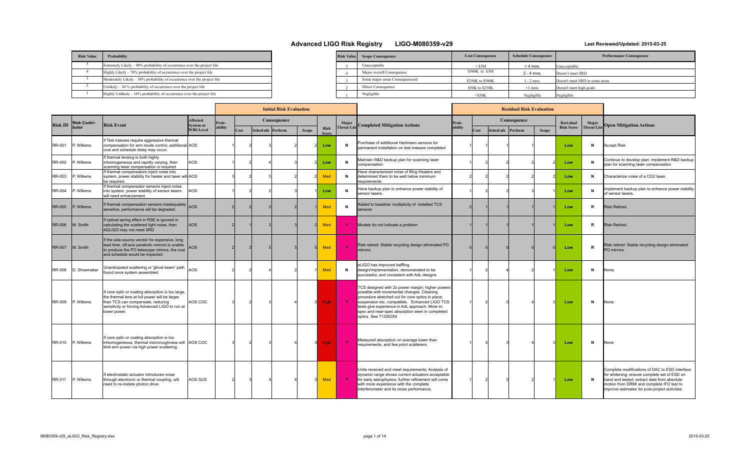| <b>Risk Value</b> | Probability                                                             |
|-------------------|-------------------------------------------------------------------------|
|                   | Extremely Likely – 90% probability of occurrence over the project life  |
|                   | Highly Likely - 70% probability of occurrence over the project life     |
|                   | Moderately Likely - 50% probability of occurrence over the project life |
|                   | Unlikely $-30\%$ probability of occurrence over the project life        |
|                   | Highly Unlikely $-10\%$ probability of occurrence over the project life |

| <b>Risk Value</b> | <b>Scope Consequence</b>       | <b>Cost Consequence</b> | <b>Schedule Consequence</b> | <b>Performance Consequence</b> |
|-------------------|--------------------------------|-------------------------|-----------------------------|--------------------------------|
|                   | Unacceptable                   | $-$ S3M                 | $> 4$ mos.                  | Unacceptable                   |
|                   | Major overall Consequence      | \$500K to \$3M          | $2 - 4$ mos.                | Doesn't meet SRD               |
|                   | Some major areas Consequenceed | \$250K to \$500K        | $1 - 2$ mos.                | Doesn't meet SRD in some areas |
|                   | Minor Consequence              | \$50K to \$250K         | $\leq$ 1 mon.               | Doesn't meet high goals        |
|                   | Negligible                     | $<$ \$50K               | Negligible                  | Negligible                     |

|                |                     |                                                                                                                                                                                                           |                              | <b>Initial Risk Evaluation</b> |      |  |                   |              |                      |                    | <b>Residual Risk Evaluation</b>                                                                                                                                                                                                                                                                                                    |         |      |  |                   |              |                   |                    |                                                                                                                                                                                                                                             |
|----------------|---------------------|-----------------------------------------------------------------------------------------------------------------------------------------------------------------------------------------------------------|------------------------------|--------------------------------|------|--|-------------------|--------------|----------------------|--------------------|------------------------------------------------------------------------------------------------------------------------------------------------------------------------------------------------------------------------------------------------------------------------------------------------------------------------------------|---------|------|--|-------------------|--------------|-------------------|--------------------|---------------------------------------------------------------------------------------------------------------------------------------------------------------------------------------------------------------------------------------------|
| <b>Risk ID</b> | <b>Risk Contri-</b> | <b>Risk Event</b>                                                                                                                                                                                         | Affected<br><b>System or</b> | rob-                           |      |  | Consequence       |              |                      | Major              | <b>Completed Mitigation Actions</b>                                                                                                                                                                                                                                                                                                | Prob-   |      |  | Consequence       |              | <b>Resi-dual</b>  | Major              | <b>Open Mitigation Actions</b>                                                                                                                                                                                                              |
|                | butor               |                                                                                                                                                                                                           | <b>WBS Level</b>             | bility                         | Cost |  | Sched-ule Perform | <b>Scope</b> | Risk<br><b>Score</b> | <b>Threat List</b> |                                                                                                                                                                                                                                                                                                                                    | ability | Cost |  | Sched-ule Perform | <b>Scope</b> | <b>Risk Score</b> | <b>Threat List</b> |                                                                                                                                                                                                                                             |
| RR-001         | P. Willems          | f Test masses require aggressive thermal<br>compensation for arm mode control, additional AOS<br>cost and schedule delay may occur.                                                                       |                              |                                |      |  |                   |              | Low                  | $\mathbf N$        | Purchase of additional Hartmann sensors for<br>permanent installation on test masses completed                                                                                                                                                                                                                                     |         |      |  |                   |              | Low               | N                  | <b>Accept Risk</b>                                                                                                                                                                                                                          |
| RR-002         | P. Willems          | If thermal lensing is both highly<br>inhomogeneous and rapidly varying, then<br>scanning laser compensation is required                                                                                   | AOS                          |                                |      |  |                   |              | Low                  | $\mathbf N$        | Maintain R&D backup plan for scanning laser<br>compensation                                                                                                                                                                                                                                                                        |         |      |  |                   |              | Low               | N                  | Continue to develop plan; implement R&D backup<br>plan for scanning laser compensation                                                                                                                                                      |
| RR-003         | . Willems           | If thermal compensators inject noise into<br>system, power stability for heater and laser will AOS<br>be required.                                                                                        |                              |                                |      |  |                   |              | Med                  | N                  | lave characterized noise of Ring Heaters and<br>determined them to be well below minimum<br>requirements                                                                                                                                                                                                                           |         |      |  |                   |              | Low               | N                  | Characterize noise of a CO2 laser.                                                                                                                                                                                                          |
| <b>RR-004</b>  | P. Willems          | f thermal compensator sensors inject noise<br>into system, power stability of sensor lasers<br>will need enhancement.                                                                                     | AOS                          |                                |      |  |                   |              | Low                  | N                  | Have backup plan to enhance power stability of<br>sensor lasers.                                                                                                                                                                                                                                                                   |         |      |  |                   |              | Low               | N                  | mplement backup plan to enhance power stability<br>of sensor lasers.                                                                                                                                                                        |
| <b>RR-005</b>  | P. Willems          | If thermal compensation sensors inadequately AOS<br>sensitive, performance will be degraded.                                                                                                              |                              |                                |      |  |                   |              | <b>Med</b>           | N                  | Added to baseline: multiplicity of installed TCS<br>sensors                                                                                                                                                                                                                                                                        |         |      |  |                   |              | Low               | R                  | <b>Risk Retired</b>                                                                                                                                                                                                                         |
| <b>RR-006</b>  | M. Smith            | If optical spring effect in RSE is ignored in<br>calculating the scattered light noise, then<br>ADLIGO may not meet SRD                                                                                   | <b>AOS</b>                   |                                |      |  |                   |              | Med                  | - Y                | Models do not indicate a problem                                                                                                                                                                                                                                                                                                   |         |      |  |                   |              | Low               | R                  | <b>Risk Retired</b>                                                                                                                                                                                                                         |
| <b>RR-007</b>  | IM. Smith           | If the sole-source vendor for expensive, long<br>lead time, off-axis parabolic mirrors is unable<br>to produce the PO telescope mirrors, the cost<br>and schedule would be impacted                       | AOS                          |                                |      |  |                   |              | Med                  | - Y                | Risk retired: Stable recycling design eliminated PO<br>mirrors.                                                                                                                                                                                                                                                                    |         |      |  |                   |              | Low               | R                  | Risk retired: Stable recycling design eliminated<br>O mirrors.                                                                                                                                                                              |
| <b>RR-008</b>  | D. Shoemaker        | Jnanticipated scattering or 'ghost beam' path<br>found once system assembled                                                                                                                              | laos                         |                                |      |  |                   |              | Med                  | N                  | eLIGO has improved baffling<br>design/implementation, demonstrated to be<br>successful, and consistent with AdL designs                                                                                                                                                                                                            |         |      |  |                   |              | Low               | N                  | None.                                                                                                                                                                                                                                       |
| RR-009         | P. Willems          | If core optic or coating absorption is too large,<br>the thermal lens at full power will be larger<br>than TCS can compensate, reducing<br>sensitivity or forcing Advanced LIGO to run at<br>lower power. | AOS COC                      |                                |      |  |                   |              | <b>High</b>          | $\mathbf{Y}$       | TCS designed with 2x power margin; higher powers<br>possible with incremental changes. Cleaning<br>procedure sketched out for core optics in place;<br>suspension etc. compatible. Enhanced LIGO TCS<br>tests give experience in AdL approach. More in-<br>spec and near-spec absorption seen in completed<br>optics. See T1300354 |         |      |  |                   |              | Low               | N                  | None                                                                                                                                                                                                                                        |
| RR-010         | P. Willems          | If core optic or coating absorption is too<br>inhomogeneous, thermal microroughness will  AOS COC<br>limit arm power via high power scattering.                                                           |                              |                                |      |  |                   |              | <b>High</b>          | - Y                | Measured absorption on average lower than<br>requirements, and few point scatterers.                                                                                                                                                                                                                                               |         |      |  |                   |              | Low               | N                  | None                                                                                                                                                                                                                                        |
| RR-011         | P. Willems          | f electrostatic actuator introduces noise<br>through electronic or thermal coupling, will<br>need to re-instate photon drive.                                                                             | AOS SUS                      |                                |      |  |                   |              | Med                  | $\mathbf{Y}$       | Units received and meet requirements; Analysis of<br>dynamic range shows current actuators acceptable<br>for early astrophysics; further refinement will come<br>with more experience with the complete<br>interferometer and its noise performance.                                                                               |         |      |  |                   |              | Low               | N                  | Complete modifications of DAC to ESD interface<br>for whitening; ensure complete set of ESD on<br>hand and tested; extract data from absolute<br>motion from DRMI and complete IFO test to<br>improve estimates for post-project activities |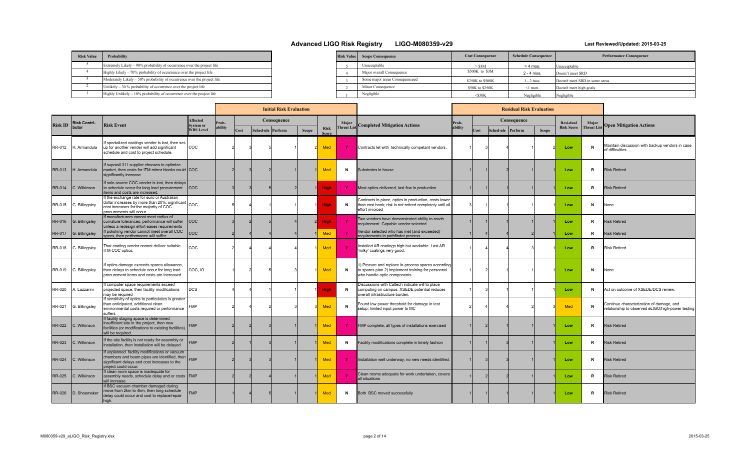| <b>Risk Value</b> | Probability                                                             |
|-------------------|-------------------------------------------------------------------------|
|                   | Extremely Likely – 90% probability of occurrence over the project life  |
|                   | Highly Likely – 70% probability of occurrence over the project life     |
|                   | Moderately Likely – 50% probability of occurrence over the project life |
|                   | Unlikely $-30\%$ probability of occurrence over the project life        |
|                   | $Highly Unlikely - 10% probability of occurrence over the project life$ |

| <b>Risk Value</b> | <b>Scope Consequence</b>       | <b>Cost Consequence</b> | <b>Schedule Consequence</b> | <b>Performance Consequence</b> |
|-------------------|--------------------------------|-------------------------|-----------------------------|--------------------------------|
|                   | Unacceptable                   | $-$ S3M                 | $> 4$ mos.                  | Unacceptable                   |
|                   | Major overall Consequence      | \$500K to \$3M          | $2 - 4$ mos.                | Doesn't meet SRD               |
|                   | Some major areas Consequenceed | \$250K to \$500K        | $1 - 2$ mos.                | Doesn't meet SRD in some areas |
|                   | Minor Consequence              | \$50K to \$250K         | $\leq$ 1 mon.               | Doesn't meet high goals        |
|                   | Negligible                     | $<$ S50K                | Negligible                  | Negligible                     |

|                |                     |                                                                                                                                                                                      |                              |         |      | <b>Initial Risk Evaluation</b> |              |                      |                    |                                                                                                                                         | <b>Residual Risk Evaluation</b> |      |                   |             |              |                   |                    |                                                                                               |
|----------------|---------------------|--------------------------------------------------------------------------------------------------------------------------------------------------------------------------------------|------------------------------|---------|------|--------------------------------|--------------|----------------------|--------------------|-----------------------------------------------------------------------------------------------------------------------------------------|---------------------------------|------|-------------------|-------------|--------------|-------------------|--------------------|-----------------------------------------------------------------------------------------------|
| <b>Risk ID</b> | <b>Risk Contri-</b> | <b>Risk Event</b>                                                                                                                                                                    | Affected<br><b>System or</b> | Prob-   |      | Consequence                    |              |                      | Major              | <b>Completed Mitigation Actions</b>                                                                                                     | Prob-                           |      |                   | Consequence |              | Resi-dual         | Major              | <b>Open Mitigation Actions</b>                                                                |
|                | butor               |                                                                                                                                                                                      | <b>WBS Level</b>             | ability | Cost | Sched-ule Perform              | <b>Scope</b> | <b>Risk</b><br>Score | <b>Threat List</b> |                                                                                                                                         | ability                         | Cost | Sched-ule Perform |             | <b>Scope</b> | <b>Risk Score</b> | <b>Threat List</b> |                                                                                               |
| RR-012         | H. Armandula        | f specialized coatings vender is lost, then set-<br>up for another vender will add significant<br>schedule and cost to project schedule.                                             | <b>COC</b>                   |         |      |                                |              | <b>Med</b>           | Y.                 | Contracts let with technically competant vendors.                                                                                       |                                 |      |                   |             |              | Low               | <b>N</b>           | Maintain discussion with backup vendors in case<br>of difficulties                            |
| <b>RR-013</b>  | 1. Armandula        | If suprasil 311 supplier chooses to optimize<br>market, then costs for ITM mirror blanks could COC<br>significantly increase.                                                        |                              |         |      |                                |              | <b>Med</b>           | N                  | Substrates in house                                                                                                                     |                                 |      |                   |             |              | Low               | R                  | <b>Risk Retired</b>                                                                           |
| <b>RR-014</b>  | C. Wilkinson        | If sole-source COC vender is lost, then delays<br>to schedule occur for long lead procurement<br>items and costs are increased                                                       | <b>COC</b>                   |         |      |                                |              | <b>High</b>          | Y.                 | Most optics delivered, last few in production                                                                                           |                                 |      |                   |             |              | Low               | R                  | <b>Risk Retired</b>                                                                           |
| RR-015         | G. Billingsley      | If the exchange rate for euro or Australian<br>dollar increases by more than 20%, significant COC<br>cost increases for the majority of COC<br>procurements will occur               |                              |         |      |                                |              | <b>High</b>          | N                  | Contracts in place, optics in production, costs lower<br>than cost book; risk is not retired completely until all<br>effort invoiced    |                                 |      |                   |             |              | Low               | N                  | None                                                                                          |
| <b>RR-016</b>  | G. Billingsley      | If manufacturers cannot meet radius of<br>curvature tolerances, performance will suffer<br>unless a redesign effort eases requirements                                               | <b>COC</b>                   |         |      |                                |              | <b>High</b>          | $\mathbf{Y}$       | wo vendors have demonstrated ability to reach<br>equirement. Capable vendor selected                                                    |                                 |      |                   |             |              | Low               | R                  | <b>Risk Retired</b>                                                                           |
| RR-017         | G. Billingsley      | If polishing vendor cannot meet overall COC<br>specs, then performance will suffer.                                                                                                  | <b>COC</b>                   |         |      |                                |              | Med                  | $\mathbf{Y}$       | Vendor selected who has met (and exceeded)<br>equirements in pathfinder process                                                         |                                 |      |                   |             |              | Low               | R                  | <b>Risk Retired</b>                                                                           |
| RR-018         | G. Billingsley      | That coating vendor cannot deliver suitable<br>TM COC optics.                                                                                                                        | coc                          |         |      |                                |              | Med                  | $\mathbf{Y}$       | nstalled AR coatings high but workable. Last AR<br>milky' coatings very good.                                                           |                                 |      |                   |             |              | Low               | R                  | <b>Risk Retired</b>                                                                           |
| RR-019         | G. Billingsley      | If optics damage exceeds spares allowance,<br>then delays to schedule occur for long lead<br>Iprocurement items and costs are increased.                                             | COC, IO                      |         |      |                                |              | Med                  | N                  | 1) Procure and replace in-process spares according<br>to spares plan 2) Implement training for personnel<br>who handle optic components |                                 |      |                   |             |              | Low               | N                  | None                                                                                          |
| RR-020         | A. Lazzarini        | If computer space requirements exceed<br>projected space, then facility modifications<br>may be required                                                                             | <b>DCS</b>                   |         |      |                                |              | High                 | N                  | Discussions with Caltech indicate will to place<br>computing on campus. XSEDE potential reduces<br>overall infrastructure burden.       |                                 |      |                   |             |              | Low               |                    | Act on outcome of XSEDE/DCS review.                                                           |
| RR-021         | G. Billingsley      | If sensitivity of optics to particulates is greater<br>than anticipated, additional clean<br>environmental costs required or performance<br>suffers                                  | <b>FMP</b>                   |         |      |                                |              | <b>Med</b>           | N                  | Found low power threshold for damage in test<br>setup: limited input power to MC                                                        |                                 |      |                   |             |              | <b>Med</b>        | N                  | Continue characterization of damage, and<br>relationship to observed eLIGO/high-power testing |
| <b>RR-022</b>  | C. Wilkinson        | If facility staging space is determined<br>insufficient late in the project, then new<br>facilities (or modifications to existing facilities)<br>will be required.                   | <b>FMP</b>                   |         |      |                                |              | Med                  | -Y                 | FMP complete, all types of installations exercised                                                                                      |                                 |      |                   |             |              | Low               | R                  | <b>Risk Retired</b>                                                                           |
| <b>RR-023</b>  | <b>C.</b> Wilkinson | If the site facility is not ready for assembly or<br>nstallation, then installation will be delaved.                                                                                 | <b>FMP</b>                   |         |      |                                |              | <b>Med</b>           | N                  | Facility modifications complete in timely fashion                                                                                       |                                 |      |                   |             |              | Low               | R                  | <b>Risk Retired</b>                                                                           |
| <b>RR-024</b>  | IC. Wilkinson       | f unplanned facility modifications or vacuum<br>chambers and beam pipes are identified, then $F_{\text{M}P}$<br>significant delays and cost increases to the<br>project could occur. |                              |         |      |                                |              | <b>Med</b>           | -Y                 | Installation well underway; no new needs identified.                                                                                    |                                 |      |                   |             |              | Low               | R                  | <b>Risk Retired</b>                                                                           |
| <b>RR-025</b>  | C. Wilkinson        | If clean room space is inadequate for<br>assembly needs, schedule delay and or costs FMP<br>will increase                                                                            |                              |         |      |                                |              | <b>Med</b>           | - Y                | Clean rooms adequate for work undertaken, covers<br>all situations                                                                      |                                 |      |                   |             |              | Low               | R                  | <b>Risk Retired</b>                                                                           |
| <b>RR-026</b>  | D. Shoemaker        | If BSC vacuum chamber damaged during<br>move from 2km to 4km, then long schedule<br>delay could occur and cost to replace/repair<br>high.                                            | <b>FMP</b>                   |         |      |                                |              | <b>Med</b>           | N                  | Both BSC moved successfully                                                                                                             |                                 |      |                   |             |              | Low               | R                  | <b>Risk Retired</b>                                                                           |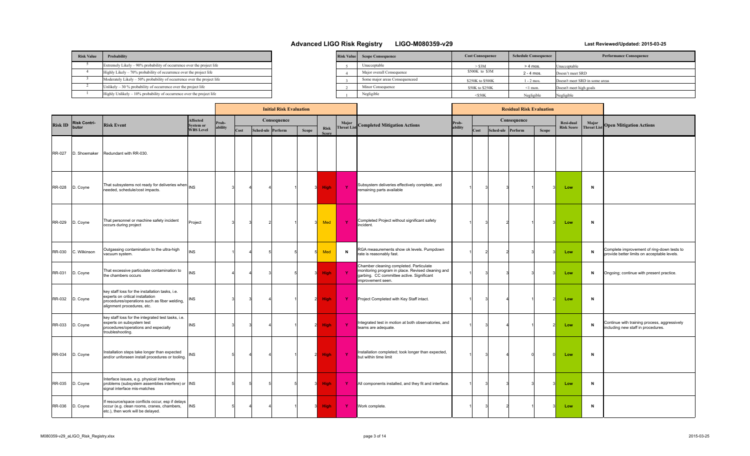| <b>Risk Value</b> | Probability                                                             |  |
|-------------------|-------------------------------------------------------------------------|--|
|                   | Extremely Likely – 90% probability of occurrence over the project life  |  |
|                   | Highly Likely - 70% probability of occurrence over the project life     |  |
|                   | Moderately Likely – 50% probability of occurrence over the project life |  |
|                   | Unlikely $-30\%$ probability of occurrence over the project life        |  |
|                   | Highly Unlikely $-10\%$ probability of occurrence over the project life |  |

| <b>Risk Value</b> | <b>Scope Consequence</b>       | <b>Cost Consequence</b> | <b>Schedule Consequence</b> | <b>Performance Consequence</b> |
|-------------------|--------------------------------|-------------------------|-----------------------------|--------------------------------|
|                   | Unacceptable                   | $>$ \$3M                | $> 4$ mos.                  | Unacceptable                   |
|                   | Major overall Consequence      | \$500K to \$3M          | $2 - 4$ mos.                | Doesn't meet SRD               |
|                   | Some major areas Consequenceed | \$250K to \$500K        | 1 - 2 mos.                  | Doesn't meet SRD in some areas |
|                   | Minor Consequence              | \$50K to \$250K         | $\leq$ 1 mon.               | Doesn't meet high goals        |
|                   | Negligible                     | $<$ \$50K               | Negligible                  | Negligible                     |

|                |                     |                                                                                                                                                                   |                       |         |      | <b>Initial Risk Evaluation</b> |       |                             |                   |                                                                                                                                                                | <b>Residual Risk Evaluation</b> |      |                   |             |              |                   |                   |                                                                                           |
|----------------|---------------------|-------------------------------------------------------------------------------------------------------------------------------------------------------------------|-----------------------|---------|------|--------------------------------|-------|-----------------------------|-------------------|----------------------------------------------------------------------------------------------------------------------------------------------------------------|---------------------------------|------|-------------------|-------------|--------------|-------------------|-------------------|-------------------------------------------------------------------------------------------|
| <b>Risk ID</b> | <b>Risk Contri-</b> | <b>Risk Event</b>                                                                                                                                                 | Affected<br>System or | Prob-   |      | Consequence                    |       |                             | Major             | <b>Completed Mitigation Actions</b>                                                                                                                            | Prob-                           |      |                   | Consequence |              | Resi-dual         | Major             | <b>Open Mitigation Actions</b>                                                            |
|                | butor               |                                                                                                                                                                   | <b>WBS</b> Level      | ability | Cost | Sched-ule Perform              | Scope | <b>Risk</b><br><b>Score</b> | <b>Threat Lis</b> |                                                                                                                                                                | ability                         | Cost | Sched-ule Perform |             | <b>Scope</b> | <b>Risk Score</b> | <b>Threat Lis</b> |                                                                                           |
| <b>RR-027</b>  | D. Shoemaker        | Redundant with RR-030.                                                                                                                                            |                       |         |      |                                |       |                             |                   |                                                                                                                                                                |                                 |      |                   |             |              |                   |                   |                                                                                           |
| RR-028         | D. Coyne            | That subsystems not ready for deliveries when INS<br>needed, schedule/cost impacts.                                                                               |                       |         |      |                                |       | High                        | $\mathbf{Y}$      | Subsystem deliveries effectively complete, and<br>remaining parts available                                                                                    |                                 |      |                   |             |              | Low               | N                 |                                                                                           |
| RR-029         | D. Coyne            | That personnel or machine safety incident<br>occurs during project                                                                                                | Project               |         |      |                                |       | Med                         | $\mathbf{Y}$      | Completed Project without significant safety<br>incident.                                                                                                      |                                 |      |                   |             |              | Low               | N                 |                                                                                           |
| RR-030         | C. Wilkinson        | Outgassing contamination to the ultra-high<br>vacuum system.                                                                                                      | <b>INS</b>            |         |      |                                |       | <b>Med</b>                  | $\mathbf N$       | RGA measurements show ok levels. Pumpdown<br>rate is reasonably fast.                                                                                          |                                 |      |                   |             |              | Low               | N                 | Complete improvement of ring-down tests to<br>provide better limits on acceptable levels. |
| RR-031         | D. Coyne            | That excessive particulate contamination to<br>the chambers occurs                                                                                                | <b>INS</b>            |         |      |                                |       | <b>High</b>                 | $\mathbf{Y}$      | Chamber cleaning completed. Particulate<br>monitoring program in place. Revised cleaning and<br>garbing. CC committee active. Significant<br>improvement seen. |                                 |      |                   |             |              | Low               | N                 | Ongoing; continue with present practice.                                                  |
| <b>RR-032</b>  | D. Coyne            | key staff loss for the installation tasks, i.e.<br>experts on critical installation<br>procedures/operations such as fiber welding,<br>alignment procedures, etc. | INS                   |         |      |                                |       | <b>High</b>                 | ◆                 | Project Completed with Key Staff intact.                                                                                                                       |                                 |      |                   |             |              | Low               | N                 |                                                                                           |
| RR-033         | D. Coyne            | key staff loss for the integrated test tasks, i.e.<br>experts on subsystem test<br>procedures/operations and especially<br>troubleshooting.                       | <b>INS</b>            |         |      |                                |       | <b>High</b>                 | $\mathbf{Y}$      | Integrated test in motion at both observatories, and<br>teams are adequate.                                                                                    |                                 |      |                   |             |              | Low               | N                 | Continue with training process, aggressively<br>including new staff in procedures.        |
| RR-034         | D. Coyne            | Installation steps take longer than expected<br>and/or unforseen install procedures or tooling.                                                                   | <b>INS</b>            |         |      |                                | - 21  | <b>High</b>                 | -Y                | Installation completed; took longer than expected,<br>but within time limit                                                                                    |                                 |      |                   |             |              | Low               | N                 |                                                                                           |
| RR-035         | D. Coyne            | Interface issues, e.g. physical interfaces<br>problems (subsystem assemblies interfere) or INS<br>signal interface mis-matches                                    |                       |         |      |                                |       | <b>High</b>                 | Y.                | All components installed, and they fit and interface.                                                                                                          |                                 |      |                   |             |              | Low               | N                 |                                                                                           |
| RR-036         | D. Coyne            | If resource/space conflicts occur, esp if delays<br>occur (e.g. clean rooms, cranes, chambers,<br>etc.), then work will be delayed.                               | <b>INS</b>            |         |      |                                |       | <b>High</b>                 | Y.                | Work complete.                                                                                                                                                 |                                 |      |                   |             |              | Low               | N                 |                                                                                           |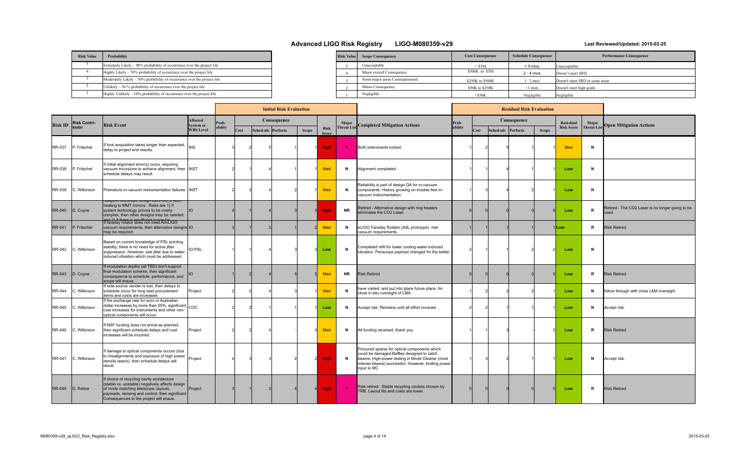| <b>Risk Value</b> | Probability                                                             |
|-------------------|-------------------------------------------------------------------------|
|                   | Extremely Likely – 90% probability of occurrence over the project life  |
|                   | Highly Likely - 70% probability of occurrence over the project life     |
|                   | Moderately Likely - 50% probability of occurrence over the project life |
|                   | Unlikely $-30\%$ probability of occurrence over the project life        |
|                   | Highly Unlikely $-10\%$ probability of occurrence over the project life |

| <b>Risk Value</b> | <b>Scope Consequence</b>       | <b>Cost Consequence</b> | <b>Schedule Consequence</b> | <b>Performance Consequence</b> |
|-------------------|--------------------------------|-------------------------|-----------------------------|--------------------------------|
|                   | Unacceptable                   | $>$ \$3M                | $> 4$ mos.                  | Unacceptable                   |
|                   | Major overall Consequence      | \$500K to \$3M          | $2 - 4$ mos.                | Doesn't meet SRD               |
|                   | Some major areas Consequenceed | \$250K to \$500K        | $1 - 2$ mos.                | Doesn't meet SRD in some areas |
|                   | Minor Consequence              | \$50K to \$250K         | ≤1 mon.                     | Doesn't meet high goals        |
|                   | Negligible                     | $<$ S50K                | Negligible                  | Negligible                     |

|                |                     |                                                                                                                                                                                                                                    |                                     |         | <b>Initial Risk Evaluation</b> |  |                   |              |                             |                   |                                                                                                                                                                                                                    | <b>Residual Risk Evaluation</b> |      |  |                   |              |                   |                    |                                                           |
|----------------|---------------------|------------------------------------------------------------------------------------------------------------------------------------------------------------------------------------------------------------------------------------|-------------------------------------|---------|--------------------------------|--|-------------------|--------------|-----------------------------|-------------------|--------------------------------------------------------------------------------------------------------------------------------------------------------------------------------------------------------------------|---------------------------------|------|--|-------------------|--------------|-------------------|--------------------|-----------------------------------------------------------|
| <b>Risk ID</b> | <b>Risk Contri-</b> | <b>Risk Event</b>                                                                                                                                                                                                                  | <b>Affected</b><br><b>System or</b> | Prob-   |                                |  | Consequence       |              |                             | Major             | <b>Completed Mitigation Actions</b>                                                                                                                                                                                | Prob-                           |      |  | Consequence       |              | Resi-dual         | Major              | <b>Open Mitigation Actions</b>                            |
|                | butor               |                                                                                                                                                                                                                                    | <b>WBS Level</b>                    | ability | Cost                           |  | Sched-ule Perform | <b>Scope</b> | <b>Risk</b><br><b>Score</b> | <b>Threat Lis</b> |                                                                                                                                                                                                                    | ability                         | Cost |  | Sched-ule Perform | <b>Scope</b> | <b>Risk Score</b> | <b>Threat List</b> |                                                           |
| <b>RR-037</b>  | P. Fritschel        | flock acquisition takes longer than expected,<br>delay to project end results.                                                                                                                                                     | <b>INS</b>                          |         |                                |  |                   |              | <b>High</b>                 | -Y                | Both instruments locked.                                                                                                                                                                                           |                                 |      |  |                   |              | Med               | N                  |                                                           |
| <b>RR-038</b>  | P. Fritschel        | f initial alignment error(s) occur, requiring<br>vacuum incursions to achieve alignment, then INST<br>schedule delays may result                                                                                                   |                                     |         |                                |  |                   |              | <b>Med</b>                  | $\mathbf N$       | Alignment completed                                                                                                                                                                                                |                                 |      |  |                   |              | Low               | N                  |                                                           |
| <b>RR-039</b>  | C. Wilkinson        | Premature in-vacuum instrumentation failures                                                                                                                                                                                       | <b>INST</b>                         |         |                                |  |                   |              | Med                         | $\mathbf N$       | Reliability is part of design QA for in-vacuum<br>components. History growing on trouble-free in-<br>vacuum instrumentation.                                                                                       |                                 |      |  |                   |              | Low               | N                  |                                                           |
| <b>RR-040</b>  | D. Coyne            | <del>u</del> daptive telescope design uses CO_∠ iasi<br>heating to MMT mirrors. Risks are 1) If<br>system technology proves to be overly<br>complex, then other designs may be needed;<br>ad 2) If there is incufficant cases for  | <b>IIO</b>                          |         |                                |  |                   |              | <b>High</b>                 | <b>NR</b>         | Retired - Alternative design with ring heaters<br>liminates the CO2 Laser.                                                                                                                                         |                                 |      |  |                   |              | Low               | R                  | Retired - The CO2 Laser is no longer going to be<br>ised. |
| <b>RR-041</b>  | P. Fritschel        | f faraday rotator does not meet AdvLIGO<br>vacuum requirements, then alternative designs IO<br>may be required.                                                                                                                    |                                     |         |                                |  |                   |              | Med                         | $\mathbf N$       | eLIGO Faraday Rotator (AdL prototype) met<br>acuum requirements.                                                                                                                                                   |                                 |      |  |                   |              | 1Low              | $\mathbb{R}$       | <b>Risk Retired</b>                                       |
| <b>RR-042</b>  | C. Wilkinson        | Based on current knowledge of PSL pointing<br>stability, there is no need for active jitter<br>suppression. However, see jitter due to water-<br>induced vibration which must be addressed.                                        | <b>IO-PSL</b>                       |         |                                |  |                   |              | Low                         | $\mathbf N$       | Completed refit for lower cooling-water-induced<br>vibration. Periscope payload changed for the better.                                                                                                            |                                 |      |  |                   |              | Low               | N                  |                                                           |
| <b>RR-043</b>  | D. Coyne            | If modulation depths (all TBD) don't support<br>final modulation scheme, then significant<br>consequence to schedule, performance, and<br>scope will ensue.                                                                        | <b>IIO</b>                          |         |                                |  |                   |              | <b>Med</b>                  | <b>NR</b>         | <b>Risk Retired</b>                                                                                                                                                                                                |                                 |      |  |                   |              | Low               | R                  | <b>Risk Retired</b>                                       |
| <b>RR-044</b>  | C. Wilkinson        | f sole-source vender is lost, then delays to<br>schedule occur for long lead procurement<br>tems and costs are increased.                                                                                                          | Project                             |         |                                |  |                   |              | <b>Med</b>                  | $\mathbf N$       | have visited, and put into place future plans, for<br>close in-situ oversight of LMA                                                                                                                               |                                 |      |  |                   |              | Low               | N                  | follow through with close LMA oversight.                  |
| <b>RR-045</b>  | C. Wilkinson        | f the exchange rate for euro or Australian<br>dollar increases by more than 20%, significant<br>cost increases for instruments and other non-<br>optical components will occur.                                                    | COC                                 |         |                                |  |                   |              | Low                         | N                 | Accept risk. Remains until all effort invoiced.                                                                                                                                                                    |                                 |      |  |                   |              | Low               | N                  | Accept risk.                                              |
| <b>RR-046</b>  | . Wilkinson         | f NSF funding does not arrive as planned,<br>then significant schedule delays and cost<br>increases will be incurred.                                                                                                              | Project                             |         |                                |  |                   |              | Med                         | N                 | All funding received, thank you.                                                                                                                                                                                   |                                 |      |  |                   |              | Low               | R                  | <b>Risk Retired</b>                                       |
| <b>RR-047</b>  | C. Wilkinson        | f damage to optical components occurs (due<br>to misalignments and exposure of high power<br>density lasers), then schedule delays will<br>result.                                                                                 | Project                             |         |                                |  |                   |              | <b>High</b>                 | $\mathbf N$       | Procured spares for optical components which<br>could be damaged.Baffles designed to catch<br>beams. High-power testing in Mode Cleaner (most<br>intense beams) successful. However, limiting power<br>input to MC |                                 |      |  |                   |              | Low               | N                  | Accept risk.                                              |
| <b>RR-048</b>  | D. Reitze           | f choice of recycling cavity architecture<br>(stable vs. unstable) negatively affects design<br>of mode matching telescope, layouts,<br>payloads, sensing and control, then significant<br>Consequences to the project will ensue. | Project                             |         |                                |  |                   |              | <b>High</b>                 | - Y               | Risk retired: Stable recycling cavities chosen by<br>TRB. Layout fits and costs are lower.                                                                                                                         |                                 |      |  |                   |              | Low               | R                  | <b>Risk Retired</b>                                       |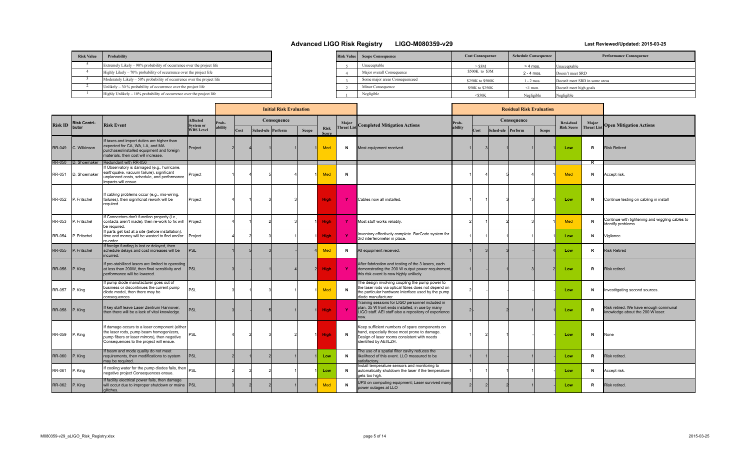| <b>Risk Value</b> | Probability                                                             |
|-------------------|-------------------------------------------------------------------------|
|                   | Extremely Likely – 90% probability of occurrence over the project life  |
|                   | Highly Likely – 70% probability of occurrence over the project life     |
|                   | Moderately Likely – 50% probability of occurrence over the project life |
|                   | Unlikely $-30\%$ probability of occurrence over the project life        |
|                   | $Highly Unlikely - 10% probability of occurrence over the project life$ |

| <b>Risk Value</b> | <b>Scope Consequence</b>       | <b>Cost Consequence</b> | <b>Schedule Consequence</b> | <b>Performance Consequence</b> |
|-------------------|--------------------------------|-------------------------|-----------------------------|--------------------------------|
|                   | Unacceptable                   | $>$ \$3M                | $> 4$ mos.                  | Unacceptable                   |
|                   | Major overall Consequence      | \$500K to \$3M          | $2 - 4$ mos.                | Doesn't meet SRD               |
|                   | Some major areas Consequenceed | \$250K to \$500K        | $1 - 2$ mos.                | Doesn't meet SRD in some areas |
|                   | Minor Consequence              | \$50K to \$250K         | $\leq$ 1 mon.               | Doesn't meet high goals        |
|                   | Negligible                     | $<$ \$50K               | Negligible                  | Negligible                     |

|                |                     |                                                                                                                                                                                     |                                     | <b>Initial Risk Evaluation</b> |      |  |                   |       |                             |                    |                                                                                                                                                                                      |         | <b>Residual Risk Evaluation</b> |                   |             |              |                   |                    |                                                                           |
|----------------|---------------------|-------------------------------------------------------------------------------------------------------------------------------------------------------------------------------------|-------------------------------------|--------------------------------|------|--|-------------------|-------|-----------------------------|--------------------|--------------------------------------------------------------------------------------------------------------------------------------------------------------------------------------|---------|---------------------------------|-------------------|-------------|--------------|-------------------|--------------------|---------------------------------------------------------------------------|
| <b>Risk ID</b> | <b>Risk Contri-</b> | <b>Risk Event</b>                                                                                                                                                                   | <b>Affected</b><br><b>System or</b> | rob-                           |      |  | Consequence       |       |                             | Major              | <b>Completed Mitigation Actions</b>                                                                                                                                                  | Prob-   |                                 |                   | Consequence |              | <b>Resi-dual</b>  | Major              | <b>Open Mitigation Actions</b>                                            |
|                | butor               |                                                                                                                                                                                     | <b>WBS Level</b>                    | ability                        | Cost |  | Sched-ule Perform | Scope | <b>Risk</b><br><b>Score</b> | <b>Threat List</b> |                                                                                                                                                                                      | ability | Cost                            | Sched-ule Perform |             | <b>Scope</b> | <b>Risk Score</b> | <b>Threat List</b> |                                                                           |
| <b>RR-049</b>  | IC. Wilkinson       | If taxes and import duties are higher than<br>expected for CA, WA, LA, and MA<br>purchases/installed equipment and foreign<br>materials, then cost will increase.                   | Project                             |                                |      |  |                   |       | <b>Med</b>                  | N                  | Most equipment received.                                                                                                                                                             |         |                                 |                   |             |              | Low               | R                  | <b>Risk Retired</b>                                                       |
|                | RR-050 D. Shoemaker | Redundant with RR-056                                                                                                                                                               |                                     |                                |      |  |                   |       |                             |                    |                                                                                                                                                                                      |         |                                 |                   |             |              |                   | R.                 |                                                                           |
| RR-051         | D. Shoemaker        | f Observatory is damaged (e.g., hurricane,<br>earthquake, vacuum failure), significant<br>unplanned costs, schedule, and performance<br>impacts will ensue                          | Project                             |                                |      |  |                   |       | <b>Med</b>                  | N                  |                                                                                                                                                                                      |         |                                 |                   |             |              | Med               | N                  | Accept risk.                                                              |
| RR-052         | P. Fritschel        | If cabling problems occur (e.g., mis-wiring<br>failures), then significnat rework will be<br>required.                                                                              | Project                             |                                |      |  |                   |       | <b>High</b>                 | - Y                | Cables now all installed.                                                                                                                                                            |         |                                 |                   |             |              | Low               | N                  | Continue testing on cabling in install                                    |
| RR-053         | P. Fritschel        | If Connectors don't function properly (i.e.,<br>contacts aren't made), then re-work to fix will<br>be required.                                                                     | Project                             |                                |      |  |                   |       | <b>High</b>                 | -Y                 | Most stuff works reliably.                                                                                                                                                           |         |                                 |                   |             |              | Med               | N                  | Continue with tightening and wiggling cables to<br>dentify problems.      |
| RR-054         | P. Fritschel        | If parts get lost at a site (before installation),<br>time and money will be wasted to find and/or<br>re-order.                                                                     | Project                             |                                |      |  |                   |       | <b>High</b>                 | <b>Y</b>           | Inventory effectively complete. BarCode system for<br>3rd interferometer in place.                                                                                                   |         |                                 |                   |             |              | Low               | N                  | /igilance.                                                                |
| <b>RR-055</b>  | P. Fritschel        | If foreign funding is lost or delayed, then<br>schedule delays and cost increases will be<br>lincurred.                                                                             | PSL                                 |                                |      |  |                   |       | <b>Med</b>                  | N                  | All equipment received.                                                                                                                                                              |         |                                 |                   |             |              | Low               | R                  | <b>Risk Retired</b>                                                       |
| <b>RR-056</b>  | P. King             | If pre-stabilized lasers are limited to operating<br>at less than 200W, then final sensitivity and<br>berformance will be lowered.                                                  | <b>IPSL</b>                         |                                |      |  |                   |       | <b>High</b>                 | - Y                | After fabrication and testing of the 3 lasers, each<br>demonstrating the 200 W output power requirement,<br>this risk event is now highly unlikely.                                  |         |                                 |                   |             |              | Low               | R                  | Risk retired.                                                             |
| RR-057         | P. King             | If pump diode manufacturer goes out of<br>business or discontinues the current pump<br>diode model, then there may be<br>consequences                                               | PSL                                 |                                |      |  |                   |       | Med                         | $\mathbf N$        | The design involving coupling the pump power to<br>the laser rods via optical fibres does not depend on<br>the particular hardware interface used by the pump<br>diode manufacturer. |         |                                 |                   |             |              | Low               | N                  | nvestitgating second sources.                                             |
| <b>RR-058</b>  | P. King             | If key staff leave Laser Zentrum Hannover,<br>then there will be a lack of vital knowledge.                                                                                         | <b>PSL</b>                          |                                |      |  |                   |       | <b>High</b>                 |                    | Training sessions for LIGO personnel included in<br>plan. 35 W front ends installed, in use by many<br>LIGO staff. AEI staff also a repository of experience<br>now.                 |         |                                 |                   |             |              | Low               | R                  | Risk retired. We have enough communal<br>knowledge about the 200 W laser. |
| RR-059         | P. King             | If damage occurs to a laser component (either<br>the laser rods, pump beam homogenizers,<br>pump fibers or laser mirrors), then negative<br>Consequences to the project will ensue. | <b>PSL</b>                          |                                |      |  |                   |       | High                        | $\mathbf N$        | Keep sufficient numbers of spare components on<br>hand, especially those most prone to damage.<br>Design of laser rooms consistent with needs<br>identified by AEI/LZH.              |         |                                 |                   |             |              | Low               | N                  | None                                                                      |
| <b>RR-060</b>  | P. King             | If beam and mode quality do not meet<br>requirements, then modifications to system<br>may be required.                                                                              | <b>IPSL</b>                         |                                |      |  |                   |       | Low                         | N                  | The use of a spatial filter cavity reduces the<br>likelihood of this event. LLO measured to be<br>satisfactory.                                                                      |         |                                 |                   |             |              | Low               | R                  | Risk retired.                                                             |
| RR-061         | P. King             | If cooling water for the pump diodes fails, then $ _{\text{PSI}}$<br>negative project Consequences ensue.                                                                           |                                     |                                |      |  |                   |       | Low                         | N                  | nstall temperature sensors and monitoring to<br>automatically shutdown the laser if the temperature<br>gets too high.                                                                |         |                                 |                   |             |              | Low               | N                  | Accept risk.                                                              |
| <b>RR-062</b>  | $P.$ King           | If facility electrical power fails, then damage<br>will occur due to improper shutdown or mains  PSL<br>lalitches.                                                                  |                                     |                                |      |  |                   |       | Med                         | $\mathbf N$        | UPS on computing equipment; Laser survived many<br>power outages at LLO                                                                                                              |         |                                 |                   |             |              | Low               | R.                 | Risk retired.                                                             |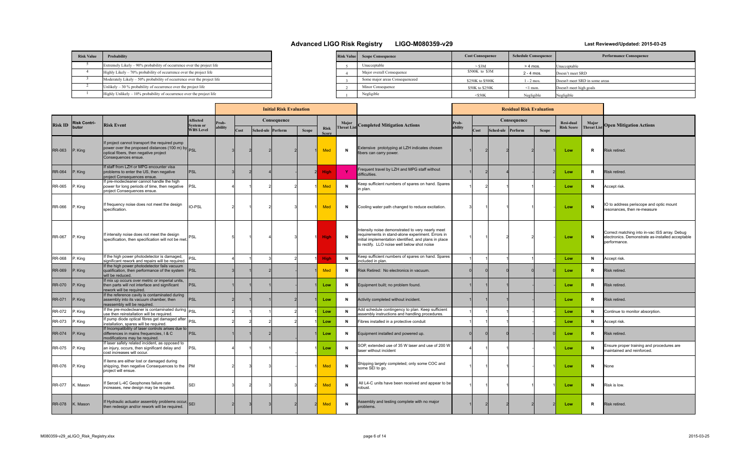| <b>Risk Value</b> | Probability                                                             |  |
|-------------------|-------------------------------------------------------------------------|--|
|                   | Extremely Likely – 90% probability of occurrence over the project life  |  |
|                   | Highly Likely - 70% probability of occurrence over the project life     |  |
|                   | Moderately Likely – 50% probability of occurrence over the project life |  |
|                   | Unlikely $-30\%$ probability of occurrence over the project life        |  |
|                   | Highly Unlikely $-10\%$ probability of occurrence over the project life |  |

| <b>Risk Value</b> | <b>Scope Consequence</b>       | <b>Cost Consequence</b> | <b>Schedule Consequence</b> | <b>Performance Consequence</b> |
|-------------------|--------------------------------|-------------------------|-----------------------------|--------------------------------|
|                   | Unacceptable                   | $>$ \$3M                | $> 4$ mos.                  | Unacceptable                   |
|                   | Major overall Consequence      | \$500K to \$3M          | $2 - 4$ mos.                | Doesn't meet SRD               |
|                   | Some major areas Consequenceed | \$250K to \$500K        | 1 - 2 mos.                  | Doesn't meet SRD in some areas |
|                   | Minor Consequence              | \$50K to \$250K         | $\leq$ 1 mon.               | Doesn't meet high goals        |
|                   | Negligible                     | $<$ \$50K               | Negligible                  | Negligible                     |

|                |                     |                                                                                                                                                                   |                                      |        |      | <b>Initial Risk Evaluation</b> |              |                             |              |                                                                                                                                                                                                               | <b>Residual Risk Evaluation</b> |      |                   |             |              |                   |                    |                                                                                                                   |
|----------------|---------------------|-------------------------------------------------------------------------------------------------------------------------------------------------------------------|--------------------------------------|--------|------|--------------------------------|--------------|-----------------------------|--------------|---------------------------------------------------------------------------------------------------------------------------------------------------------------------------------------------------------------|---------------------------------|------|-------------------|-------------|--------------|-------------------|--------------------|-------------------------------------------------------------------------------------------------------------------|
| <b>Risk ID</b> | <b>Risk Contri-</b> | <b>Risk Event</b>                                                                                                                                                 | <b>Affected</b>                      | rob-   |      | Consequence                    |              |                             |              |                                                                                                                                                                                                               | Prob-                           |      |                   | Consequence |              | Resi-dual         | Major              |                                                                                                                   |
|                | butor               |                                                                                                                                                                   | <b>System or</b><br><b>WBS Level</b> | bility | Cost | Sched-ule Perform              | <b>Scope</b> | <b>Risk</b><br><b>Score</b> |              | <b>Threat List</b> Completed Mitigation Actions                                                                                                                                                               | ability                         | Cost | Sched-ule Perform |             | <b>Scope</b> | <b>Risk Score</b> | <b>Threat List</b> | <b>Open Mitigation Actions</b>                                                                                    |
| <b>RR-063</b>  | P. King             | If project cannot transport the required pump<br>power over the proposed distances (100 m) by PSL<br>optical fibers, then negative project<br>Consequences ensue. |                                      |        |      |                                |              | Med                         | N            | Extensive prototyping at LZH indicates chosen<br>fibers can carry power.                                                                                                                                      |                                 |      |                   |             |              | Low               | R                  | Risk retired.                                                                                                     |
| <b>RR-064</b>  | P. King             | If staff from LZH or MPG encounter visa<br>problems to enter the US, then negative<br>project Consequences ensue.                                                 | <b>IPSL</b>                          |        |      |                                |              | <b>High</b>                 | -Y           | Frequent travel by LZH and MPG staff without<br>difficulties.                                                                                                                                                 |                                 |      |                   |             |              | Low               | R                  | Risk retired.                                                                                                     |
| RR-065         | P. King             | If pre-modecleaner cannot handle the high<br>power for long periods of time, then negative  PSL<br>project Consequences ensue.                                    |                                      |        |      |                                |              | <b>Med</b>                  | N            | Keep sufficient numbers of spares on hand. Spares<br>n plan.                                                                                                                                                  |                                 |      |                   |             |              | Low               | N                  | Accept risk.                                                                                                      |
| RR-066         | P. King             | If frequency noise does not meet the design<br>specification.                                                                                                     | IO-PSL                               |        |      |                                |              | <b>Med</b>                  | N            | Cooling water path changed to reduce excitation.                                                                                                                                                              |                                 |      |                   |             |              | Low               | N                  | IO to address periscope and optic mount<br>resonances, then re-measure                                            |
| <b>RR-067</b>  | P. King             | If intensity noise does not meet the design<br>specification, then specification will not be met.                                                                 | PSL                                  |        |      |                                |              | <b>High</b>                 | N            | Intensity noise demonstrated to very nearly meet<br>requirements in stand-alone experiment. Errors in<br>initial implementation identified, and plans in place<br>to rectify. LLO noise well below shot noise |                                 |      |                   |             |              | Low               | N                  | Correct matching into in-vac ISS array. Debug<br>electronics. Demonstrate as-installed acceptable<br>performance. |
| <b>RR-068</b>  | P. Kina             | If the high power photodetector is damaged,<br>significant rework and repairs will be required.                                                                   | PSL                                  |        |      |                                |              | <b>High</b>                 | $\mathsf{N}$ | Keep sufficient numbers of spares on hand. Spares<br>ncluded in plan.                                                                                                                                         |                                 |      |                   |             |              | Low               | N                  | Accept risk.                                                                                                      |
| <b>RR-069</b>  | P. King             | If the high power photodetector fails vacuum<br>qualification, then performance of the system  PSL<br>will be reduced.                                            |                                      |        |      |                                |              | Med                         | N            | Risk Retired: No electronics in vacuum.                                                                                                                                                                       |                                 |      |                   |             |              | Low               | R                  | Risk retired.                                                                                                     |
| <b>RR-070</b>  | P. King             | If mix up occurs over metric or imperial units,<br>then parts will not interface and significant<br>rework will be required.                                      | PSL                                  |        |      |                                |              | Low                         | N            | Equipment built; no problem found.                                                                                                                                                                            |                                 |      |                   |             |              | Low               | R                  | Risk retired.                                                                                                     |
| <b>RR-071</b>  | P. King             | If the reference cavity is contaminated during<br>assembly into its vacuum chamber, then<br>reassembly will be required.                                          | <b>IPSL</b>                          |        |      |                                |              | Low                         | N            | Activity completed without incident.                                                                                                                                                                          |                                 |      |                   |             |              | Low               | R                  | Risk retired.                                                                                                     |
| RR-072         | P. King             | If the pre-modecleaner is contaminated during PSL<br>use then reinstallation will be required.                                                                    |                                      |        |      |                                |              | Low                         | N            | Add schedule contingency to plan. Keep sufficient<br>assembly instructions and handling procedures.                                                                                                           |                                 |      |                   |             |              | Low               | N                  | Continue to monitor absorption.                                                                                   |
| RR-073         | P. King             | If pump diode optical fibres get damaged after PSL<br>installation, spares will be required.                                                                      |                                      |        |      |                                |              | Low                         | N            | Fibres installed in a protective conduit                                                                                                                                                                      |                                 |      |                   |             |              | Low               | N                  | Accept risk.                                                                                                      |
| <b>RR-074</b>  | P. King             | If Incompatibility of laser controls arises due to<br>differences in mains frequencies, I & C<br>modifications may be required.                                   | PSL                                  |        |      |                                |              | Low                         | N            | Equipment installed and powered up.                                                                                                                                                                           |                                 |      |                   |             |              | Low               | R                  | Risk retired.                                                                                                     |
| RR-075         | P. King             | If laser safety related incident, as opposed to<br>an injury, occurs, then significant delay and<br>cost increases will occur.                                    | <b>IPSL</b>                          |        |      |                                |              | Low                         | N            | SOP, extended use of 35 W laser and use of 200 W<br>laser without incident                                                                                                                                    |                                 |      |                   |             |              | Low               | N                  | Ensure proper training and procedures are<br>maintained and reinforced.                                           |
| RR-076         | P. King             | f items are either lost or damaged during<br>shipping, then negative Consequences to the PM<br>project will ensue.                                                |                                      |        |      |                                |              | <b>Med</b>                  | $\mathbf N$  | Shipping largely completed; only some COC and<br>some SEI to go.                                                                                                                                              |                                 |      |                   |             |              | Low               | N                  | None                                                                                                              |
| RR-077         | Mason               | f Sercel L-4C Geophones failure rate<br>increases, new design may be required.                                                                                    | <b>SEI</b>                           |        |      |                                |              | <b>Med</b>                  | N            | All L4-C units have been received and appear to be<br>robust.                                                                                                                                                 |                                 |      |                   |             |              | Low               | N                  | Risk is low.                                                                                                      |
| <b>RR-078</b>  | K. Mason            | If Hydraulic actuator assembly problems occur, SEI<br>then redesign and/or rework will be required.                                                               |                                      |        |      |                                |              | Med                         | N            | Assembly and testing complete with no major<br>problems.                                                                                                                                                      |                                 |      |                   |             |              | Low               | R                  | Risk retired.                                                                                                     |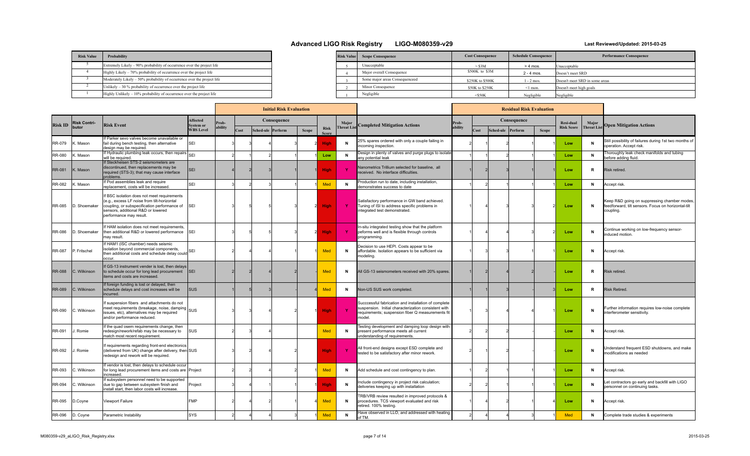| <b>Risk Value</b> | Probability                                                             | <b>Risk Value</b> |
|-------------------|-------------------------------------------------------------------------|-------------------|
|                   | Extremely Likely – 90% probability of occurrence over the project life  |                   |
|                   | Highly Likely – 70% probability of occurrence over the project life     |                   |
|                   | Moderately Likely – 50% probability of occurrence over the project life |                   |
|                   | Unlikely $-30\%$ probability of occurrence over the project life        |                   |
|                   | Highly Unlikely - 10% probability of occurrence over the project life   |                   |

| <b>Risk Value</b> | <b>Scope Consequence</b>       | <b>Cost Consequence</b> | <b>Schedule Consequence</b> | <b>Performance Consequence</b> |
|-------------------|--------------------------------|-------------------------|-----------------------------|--------------------------------|
|                   | Unacceptable                   | $>$ \$3M                | $> 4$ mos.                  | Unacceptable                   |
|                   | Major overall Consequence      | \$500K to \$3M          | $2 - 4$ mos.                | Doesn't meet SRD               |
|                   | Some major areas Consequenceed | \$250K to \$500K        | $1 - 2$ mos.                | Doesn't meet SRD in some areas |
|                   | Minor Consequence              | \$50K to \$250K         | $\leq$ 1 mon.               | Doesn't meet high goals        |
|                   | Negligible                     | $<$ S50K                | Negligible                  | Negligible                     |

|                |                     |                                                                                                                                                                                                                 |                              |        |      | <b>Initial Risk Evaluation</b> |              |                             |                    |                                                                                                                                                                             | <b>Residual Risk Evaluation</b> |      |                   |             |              |                   |                    |                                                                                                                  |
|----------------|---------------------|-----------------------------------------------------------------------------------------------------------------------------------------------------------------------------------------------------------------|------------------------------|--------|------|--------------------------------|--------------|-----------------------------|--------------------|-----------------------------------------------------------------------------------------------------------------------------------------------------------------------------|---------------------------------|------|-------------------|-------------|--------------|-------------------|--------------------|------------------------------------------------------------------------------------------------------------------|
| <b>Risk ID</b> | <b>Risk Contri-</b> | <b>Risk Event</b>                                                                                                                                                                                               | <b>Affected</b><br>System or | rob-   |      | Consequence                    |              |                             | Major              | <b>Completed Mitigation Actions</b>                                                                                                                                         | Prob-                           |      |                   | Consequence |              | Resi-dual         | Major              | <b>Open Mitigation Actions</b>                                                                                   |
|                | butor               |                                                                                                                                                                                                                 | <b>WBS Level</b>             | bility | Cost | Sched-ule Perform              | <b>Scope</b> | <b>Risk</b><br><b>Score</b> | <b>Threat List</b> |                                                                                                                                                                             | ability                         | Cost | Sched-ule Perform |             | <b>Scope</b> | <b>Risk Score</b> | <b>Threat List</b> |                                                                                                                  |
| RR-079         | . Mason             | If Parker sevo valves become unavailable or<br>fail during bench testing, then alternative<br>design may be required.                                                                                           | <b>SEI</b>                   |        |      |                                |              | <b>High</b>                 | N                  | 25% spares ordered with only a couple failing in<br>ncoming inspection.                                                                                                     |                                 |      |                   |             |              | Low               |                    | Still possibility of failures during 1st two months of<br>operation, Accept risk.                                |
| RR-080         | : Mason             | If Hydraulic plumbing leak occurs, then repairs SEI<br>will be required.                                                                                                                                        |                              |        |      |                                |              | Low                         | N                  | Design in plenty of valves and purge plugs to isolate<br>any potential leak                                                                                                 |                                 |      |                   |             |              | Low               | N                  | Thoroughly leak check manifolds and tubing<br>before adding fluid.                                               |
| <b>RR-081</b>  | K. Mason            | If Steckheisen STS-2 seismometers are<br>discontinued, then replacements may be<br>required (STS-3); that may cause interface<br>problems.                                                                      | <b>SEI</b>                   |        |      |                                |              | <b>High</b>                 |                    | Nanometrics Trillium selected for baseline, all<br>received. No interface difficulties                                                                                      |                                 |      |                   |             |              | Low               | R                  | Risk retired                                                                                                     |
| RR-082         | K. Mason            | If Pod assemblies leak and require<br>replacement, costs will be increased.                                                                                                                                     | <b>SEI</b>                   |        |      |                                |              | Med                         | $\mathbf N$        | Production run to date, including installation,<br>demonstrates success to date                                                                                             |                                 |      |                   |             |              | Low               | N                  | Accept risk.                                                                                                     |
| RR-085         | D. Shoemaker        | If BSC isolation does not meet requirements<br>(e.g., excess LF noise from tilt-horizontal<br>coupling, or subspecification performance of SEI<br>sensors, additional R&D or lowered<br>performance may result. |                              |        |      |                                |              | <b>High</b>                 | $\mathbf{Y}$       | Satisfactory performance in GW band achieved.<br>Tuning of ISI to address specific problems in<br>integrated test demonstrated.                                             |                                 |      |                   |             |              | Low               |                    | Geep R&D going on suppressing chamber modes,<br>feedforward, tilt sensors. Focus on horizontal-tilt<br>coupling. |
| RR-086         | D. Shoemaker        | If HAM isolation does not meet requirements,<br>then additional R&D or lowered performance SEI<br>may result.                                                                                                   |                              |        |      |                                |              | <b>High</b>                 | $\mathbf{Y}$       | In-situ integrated testing show that the platform<br>peforms well and is flexible through controls<br>programming.                                                          |                                 |      |                   |             |              | Low               | N                  | Continue working on low-frequency sensor-<br>nduced motion.                                                      |
| RR-087         | P. Fritschel        | If HAM1 (ISC chamber) needs seismic<br>isolation beyond commercial components,<br>then additional costs and schedule delay could SEI<br>nccur.                                                                  |                              |        |      |                                |              | <b>Med</b>                  | N                  | Decision to use HEPI. Costs appear to be<br>affordable. Isolation appears to be sufficient via<br>modeling.                                                                 |                                 |      |                   |             |              | Low               | N                  | Accept risk.                                                                                                     |
| <b>RR-088</b>  | C. Wilkinson        | If GS-13 instrument vender is lost, then delays<br>to schedule occur for long lead procurement  SEI<br>tems and costs are increased.                                                                            |                              |        |      |                                |              | Med                         | N                  | All GS-13 seismometers received with 20% spares.                                                                                                                            |                                 |      |                   |             |              | Low               | R                  | Risk retired.                                                                                                    |
| <b>RR-089</b>  | C. Wilkinson        | If foreign funding is lost or delayed, then<br>schedule delays and cost increases will be<br>incurred.                                                                                                          | <b>SUS</b>                   |        |      |                                |              | Med                         | N                  | Non-US SUS work completed                                                                                                                                                   |                                 |      |                   |             |              | Low               | R                  | <b>Risk Retired.</b>                                                                                             |
| RR-090         | C. Wilkinson        | If suspension fibers and attachments do not<br>meet requirements (breakage, noise, damping SUS<br>issues, etc), alternatives may be required<br>and/or performance reduced.                                     |                              |        |      |                                |              | <b>High</b>                 | - Y                | Succcessful fabrication and installation of complete<br>suspension. Initial characterization consistent with<br>requirements; suspension fiber Q measurements fit<br>model. |                                 |      |                   |             |              | Low               | N                  | urther information requires low-noise complete<br>nterferometer sensitivity                                      |
| RR-091         | . Romie             | If the quad osem requirements change, then<br>redesign/rework/refab may be necessary to<br>match most recent requirement.                                                                                       | <b>SUS</b>                   |        |      |                                |              | <b>Med</b>                  | N                  | Festing development and damping loop design with<br>present performance meets all current<br>understanding of requirements.                                                 |                                 |      |                   |             |              | Low               | N                  | Accept risk.                                                                                                     |
| RR-092         | . Romie             | If requirements regarding front-end electronics<br>(delivered from UK) change after delivery, then SUS<br>redesign and rework will be required.                                                                 |                              |        |      |                                |              | <b>High</b>                 | $\mathbf{Y}$       | All front-end designs except ESD complete and<br>tested to be satisfactory after minor rework.                                                                              |                                 |      |                   |             |              | Low               | N                  | Understand frequent ESD shutdowns, and make<br>nodifications as needed                                           |
| RR-093         | C. Wilkinson        | f vendor is lost, then delays to schedule occur<br>for long lead procurement items and costs are Project<br>increased.                                                                                          |                              |        |      |                                |              | Med                         | N                  | Add schedule and cost contingency to plan.                                                                                                                                  |                                 |      |                   |             |              | Low               | N                  | Accept risk.                                                                                                     |
| RR-094         | C. Wilkinson        | If subsystem personnel need to be supported<br>due to gap between subsystem finish and<br>install start, then labor costs will increase.                                                                        | Project                      |        |      |                                |              | <b>High</b>                 | $\mathbf N$        | nclude contingency in project risk calculation;<br>deliveries keeping up with installation                                                                                  |                                 |      |                   |             |              | Low               | N                  | et contractors go early and backfill with LIGO<br>personnel on continuing tasks.                                 |
| RR-095         | D.Coyne             | Viewport Failure                                                                                                                                                                                                | <b>FMP</b>                   |        |      |                                |              | <b>Med</b>                  | $\mathbf N$        | FRB/VRB review resulted in improved protocols &<br>procedures. TCS viewport evaluated and risk<br>retired. 100% testing.                                                    |                                 |      |                   |             |              | Low               | N                  | Accept risk.                                                                                                     |
| RR-096         | D. Coyne            | Parametric Instability                                                                                                                                                                                          | <b>SYS</b>                   |        |      |                                |              | Med                         | N                  | Have observed in LLO, and addressed with heating<br>of TM.                                                                                                                  |                                 |      |                   |             |              | Med               | N                  | Complete trade studies & experiments                                                                             |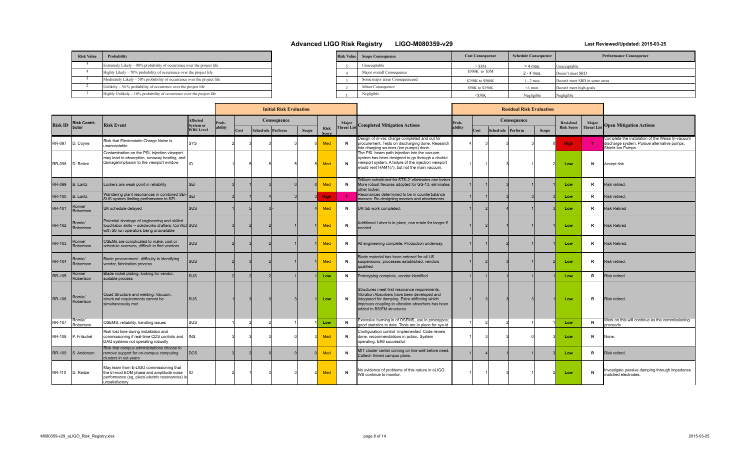| <b>Risk Value</b> | Probability                                                             |
|-------------------|-------------------------------------------------------------------------|
|                   | Extremely Likely - 90% probability of occurrence over the project life  |
|                   | Highly Likely – 70% probability of occurrence over the project life     |
|                   | Moderately Likely - 50% probability of occurrence over the project life |
|                   | Unlikely $-30\%$ probability of occurrence over the project life        |
|                   | Highly Unlikely – 10% probability of occurrence over the project life   |

| <b>Risk Value</b> | <b>Scope Consequence</b>       | <b>Cost Consequence</b> | <b>Schedule Consequence</b> | <b>Performance Consequence</b> |
|-------------------|--------------------------------|-------------------------|-----------------------------|--------------------------------|
|                   | Unacceptable                   | $>$ \$3M                | $> 4$ mos.                  | Unacceptable                   |
|                   | Major overall Consequence      | \$500K to \$3M          | $2 - 4$ mos.                | Doesn't meet SRD               |
|                   | Some major areas Consequenceed | \$250K to \$500K        | $1 - 2$ mos.                | Doesn't meet SRD in some areas |
|                   | Minor Consequence              | \$50K to \$250K         | $\leq$ 1 mon.               | Doesn't meet high goals        |
|                   | Negligible                     | $<$ \$50K               | Negligible                  | Negligible                     |

| <b>Initial Risk Evaluation</b> |                     |                                                                                                                                                           |                                      |         |      |  |                   |              |                             |                   | <b>Residual Risk Evaluation</b>                                                                                                                                                                                                  |         |      |                   |             |              |                   |                    |                                                                                                                     |
|--------------------------------|---------------------|-----------------------------------------------------------------------------------------------------------------------------------------------------------|--------------------------------------|---------|------|--|-------------------|--------------|-----------------------------|-------------------|----------------------------------------------------------------------------------------------------------------------------------------------------------------------------------------------------------------------------------|---------|------|-------------------|-------------|--------------|-------------------|--------------------|---------------------------------------------------------------------------------------------------------------------|
| <b>Risk ID</b>                 | <b>Risk Contri-</b> | <b>Risk Event</b>                                                                                                                                         | <b>Affected</b>                      | Prob-   |      |  | Consequence       |              |                             | Major             | <b>Completed Mitigation Actions</b>                                                                                                                                                                                              | Prob-   |      |                   | Consequence |              | Resi-dual         | Major              |                                                                                                                     |
|                                | butor               |                                                                                                                                                           | <b>System or</b><br><b>WBS</b> Level | ability | Cost |  | Sched-ule Perform | <b>Scope</b> | <b>Risk</b><br><b>Score</b> | <b>Threat Lis</b> |                                                                                                                                                                                                                                  | ability | Cost | Sched-ule Perform |             | <b>Scope</b> | <b>Risk Score</b> | <b>Threat List</b> | <b>Open Mitigation Actions</b>                                                                                      |
| <b>RR-097</b>                  | D. Coyne            | Risk that Electrostatic Charge Noise is<br>unacceptable                                                                                                   | <b>SYS</b>                           |         |      |  |                   |              | Med                         | N                 | Design of in-vac charge completed and out for<br>procurement. Tests on discharging done. Research<br>into charging sources (ion pumps) done.                                                                                     |         |      |                   |             |              | <b>High</b>       | Y.                 | Complete the instalation of the Weiss In-vacuum<br>discharge system. Pursue alternative pumps.<br>Shield Ion Pumps. |
| <b>RR-098</b>                  | D. Reitze           | Contamination on the PSL injection viewport<br>may lead to absorption, runaway heating, and<br>damage/implosion to the viewport window                    | IO.                                  |         |      |  |                   |              | Med                         | N                 | The PSL beam path injection into the vacuum<br>system has been designed to go through a double<br>viewport system. A failure of the injection viewport<br>would vent HAM1(7), but not the main vacuum.                           |         |      |                   |             |              | Low               | N                  | Accept risk.                                                                                                        |
| <b>RR-099</b>                  | <b>B.</b> Lantz     | Lockers are weak point in reliability                                                                                                                     | lsei                                 |         |      |  |                   |              | Med                         | $\mathbf{N}$      | Trillium substituted for STS-2; eliminates one locker<br>More robust flexures adopted for GS-13, eliminates<br>other locker.                                                                                                     |         |      |                   |             |              | Low               | R                  | Risk retired.                                                                                                       |
| <b>RR-100</b>                  | <b>B.</b> Lantz     | Wandering plant resonances in combined SEI-SEI<br>SUS system limiting performance in SEI                                                                  |                                      |         |      |  |                   |              | <b>High</b>                 |                   | Resonances determined to be in counterbalance<br>masses. Re-designing masses and attachments.                                                                                                                                    |         |      |                   |             |              | Low               | R                  | Risk retired.                                                                                                       |
| RR-101                         | Romie/<br>Robertson | UK schedule delayed                                                                                                                                       | <b>SUS</b>                           |         |      |  |                   |              | Med                         | N                 | UK fab work completed.                                                                                                                                                                                                           |         |      |                   |             |              | Low               | R                  | <b>Risk Retired</b>                                                                                                 |
| <b>RR-102</b>                  | Romie/<br>Robertson | Potential shortage of engineering and skilled<br>touchlabor skills -- solidworks drafters; Conflict SUS<br>with S6 run operators being unavailable        |                                      |         |      |  |                   |              | Med                         | N                 | Additional Labor is in place, can retain for longer if<br>eeded                                                                                                                                                                  |         |      |                   |             |              | Low               | R                  | <b>Risk Retired</b>                                                                                                 |
| <b>RR-103</b>                  | Romie/<br>Robertson | OSEMs are complicated to make; cost or<br>schedule overruns, difficult to find vendors                                                                    | <b>SUS</b>                           |         |      |  |                   |              | Med                         | $\mathbf N$       | All engineering complete. Production underway.                                                                                                                                                                                   |         |      |                   |             |              | Low               | R                  | <b>Risk Retired</b>                                                                                                 |
| <b>RR-104</b>                  | Romie/<br>Robertson | Blade procurement: difficulty in identifying<br>vendor, fabrication process                                                                               | <b>SUS</b>                           |         |      |  |                   |              | Med                         | $\mathbf{N}$      | Blade material has been ordered for all US<br>suspensions, processes established, vendors<br>qualified                                                                                                                           |         |      |                   |             |              | Low               | R                  | <b>Risk retired</b>                                                                                                 |
| <b>RR-105</b>                  | Romie/<br>Robertson | Blade nickel plating: looking for vendor,<br>suitable process                                                                                             | <b>SUS</b>                           |         |      |  |                   |              | Low                         | $\mathbf{N}$      | Prototyping complete, vendor identified                                                                                                                                                                                          |         |      |                   |             |              | Low               | R                  | Risk retired.                                                                                                       |
| <b>RR-106</b>                  | Romie/<br>Robertson | Quad Structure and welding: Vacuum,<br>structural requirements cannot be<br>simultaneously met                                                            | <b>SUS</b>                           |         |      |  |                   |              | Low                         | $\mathsf{N}$      | Structures meet first resonance requirements.<br>Vibration Absorbers have been developed and<br>integrated for damping. Extra stiffening which<br>improves coupling to vibration absorbers has been<br>added to BS/FM structures |         |      |                   |             |              | Low               | R                  | <b>Risk retired</b>                                                                                                 |
| RR-107                         | Romie/<br>Robertson | OSEMS: reliability, handling issues                                                                                                                       | <b>SUS</b>                           |         |      |  |                   |              | Low                         | $\mathbf N$       | Extensive burning in of OSEMS, use in prototypes;<br>good statistics to date. Tools are in place for sys-id                                                                                                                      |         |      |                   |             |              | Low               | N                  | Vork on this will continue as the commissioning<br>proceeds                                                         |
| RR-108                         | P. Fritschel        | Risk lost time during installation and<br>commissioning if real-time CDS controls and<br>DAQ systems not operating robustly                               | <b>INS</b>                           |         |      |  |                   |              | Med                         | $\mathbf N$       | Configuration control implemented Code review<br>done, recommendations in action. System<br>operating. ER6 successful                                                                                                            |         |      |                   |             |              | Low               | N                  | None.                                                                                                               |
| <b>RR-109</b>                  | S. Anderson         | Risk that campus administrations choose to<br>remove support for on-campus computing<br>clusters in out-years                                             | <b>DCS</b>                           |         |      |  |                   |              | <b>Med</b>                  | N                 | MIT cluster center coming on line well before need.<br>Caltech firmed campus plans.                                                                                                                                              |         |      |                   |             |              | Low               | R.                 | Risk retired.                                                                                                       |
| <b>RR-110</b>                  | D. Reitze           | May learn from E-LIGO commissioning that<br>the tri-mod EOM phase and amplitude noise<br>performance (eg, piezo-electric resonances) is<br>unsatisfactory |                                      |         |      |  |                   |              | <b>Med</b>                  | N                 | No evidence of problems of this nature in eLIGO.<br>Will continue to monitor.                                                                                                                                                    |         |      |                   |             |              | Low               | N                  | nvestigate passive damping through impedance<br>matched electrodes.                                                 |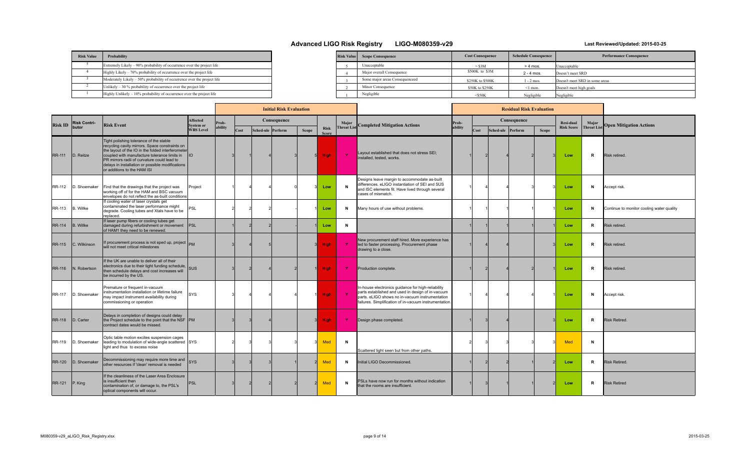| <b>Risk Value</b> | Probability                                                             |
|-------------------|-------------------------------------------------------------------------|
|                   | Extremely Likely – 90% probability of occurrence over the project life  |
|                   | Highly Likely - 70% probability of occurrence over the project life     |
|                   | Moderately Likely - 50% probability of occurrence over the project life |
|                   | Unlikely $-30\%$ probability of occurrence over the project life        |
|                   | Highly Unlikely - 10% probability of occurrence over the project life   |

| Risk Value | <b>Scope Consequence</b>       | <b>Cost Consequence</b> | <b>Schedule Consequence</b> | <b>Performance Consequence</b> |
|------------|--------------------------------|-------------------------|-----------------------------|--------------------------------|
|            | Unacceptable                   | $>$ \$3M                | $> 4$ mos.                  | Unacceptable                   |
|            | Major overall Consequence      | \$500K to \$3M          | $2 - 4$ mos.                | Doesn't meet SRD               |
|            | Some major areas Consequenceed | \$250K to \$500K        | $-2$ mos.                   | Doesn't meet SRD in some areas |
|            | Minor Consequence              | \$50K to \$250K         | ≤1 mon.                     | Doesn't meet high goals        |
|            | Negligible                     | $<$ S50K                | Negligible                  | Negligible                     |

|                |                     |                                                                                                                                                                                                                                                                                                                                      |                                     |         |      | <b>Initial Risk Evaluation</b> |       |                             |                   |                                                                                                                                                                                                                      | <b>Residual Risk Evaluation</b> |      |                   |             |              |                   |            |                                           |
|----------------|---------------------|--------------------------------------------------------------------------------------------------------------------------------------------------------------------------------------------------------------------------------------------------------------------------------------------------------------------------------------|-------------------------------------|---------|------|--------------------------------|-------|-----------------------------|-------------------|----------------------------------------------------------------------------------------------------------------------------------------------------------------------------------------------------------------------|---------------------------------|------|-------------------|-------------|--------------|-------------------|------------|-------------------------------------------|
| <b>Risk ID</b> | <b>Risk Contri-</b> | <b>Risk Event</b>                                                                                                                                                                                                                                                                                                                    | <b>Affected</b><br><b>System or</b> | Prob-   |      | Consequence                    |       |                             | Major             | <b>Completed Mitigation Actions</b>                                                                                                                                                                                  | Prob-                           |      |                   | Consequence |              | <b>Resi-dual</b>  | Major      | <b>Open Mitigation Actions</b>            |
|                | butor               |                                                                                                                                                                                                                                                                                                                                      | <b>WBS Level</b>                    | ability | Cost | Sched-ule Perform              | Scope | <b>Risk</b><br><b>Score</b> | <b>Threat Lis</b> |                                                                                                                                                                                                                      | ability                         | Cost | Sched-ule Perform |             | <b>Scope</b> | <b>Risk Score</b> | Threat Lis |                                           |
| <b>RR-111</b>  | D. Reitze           | Tight polishing tolerance of the stable<br>recycling cavity mirrors. Space constraints on<br>the layout of the IO in the folded interferometer<br>coupled with manufacture tolerance limits in  IO<br>PR mirrors radii of curvature could lead to<br>delays in installation or possible modifications<br>or additions to the HAM ISI |                                     |         |      |                                |       | <b>High</b>                 | $\mathbf{Y}$      | Layout established that does not stress SEI;<br>installed, tested, works.                                                                                                                                            |                                 |      |                   |             |              | Low               | R          | Risk retired.                             |
| RR-112         | D. Shoemaker        | Find that the drawings that the project was<br>working off of for the HAM and BSC vacuum<br>envelopes do not reflect the as-built conditions                                                                                                                                                                                         | Project                             |         |      |                                |       | Low                         | $\mathbf{N}$      | Designs leave margin to accommodate as-built<br>differences. eLIGO instantiation of SEI and SUS<br>and ISC elements fit. Have lived through several<br>cases of mismatch.                                            |                                 |      |                   |             |              | Low               | N          | Accept risk.                              |
| <b>RR-113</b>  | B. Willke           | If cooling water of laser crystals get<br>contaminated the laser performance might<br>degrade. Cooling tubes and Xtals have to be<br>replaced.                                                                                                                                                                                       | ∍s∟                                 |         |      |                                |       | Low                         | N                 | Many hours of use without problems.                                                                                                                                                                                  |                                 |      |                   |             |              | Low               | N          | Continue to monitor cooling water quality |
| <b>RR-114</b>  | B. Willke           | If laser pump fibers or cooling tubes get<br>damaged during refurbishment or movement  PSL<br>of HAM1 they need to be renewed.                                                                                                                                                                                                       |                                     |         |      |                                |       | Low                         | N                 |                                                                                                                                                                                                                      |                                 |      |                   |             |              | Low               | R          | Risk retired.                             |
| <b>RR-115</b>  | C. Wilkinson        | If procurement process is not sped up, project $_{\rm PM}$<br>will not meet critical milestones                                                                                                                                                                                                                                      |                                     |         |      |                                |       | <b>High</b>                 | $\mathbf{Y}$      | New procurement staff hired. More experience has<br>led to faster processing. Procurement phase<br>drawing to a close.                                                                                               |                                 |      |                   |             |              | Low               | R          | Risk retired.                             |
| <b>RR-116</b>  | N. Robertson        | If the UK are unable to deliver all of their<br>electronics due to their tight funding schedule, SUS<br>then schedule delays and cost increases will<br>be incurred by the US.                                                                                                                                                       |                                     |         |      |                                |       | <b>High</b>                 | Y                 | Production complete.                                                                                                                                                                                                 |                                 |      |                   |             |              | Low               | R          | <b>Risk retired</b>                       |
| RR-117         | D. Shoemaker        | Premature or frequent in-vacuum<br>instrumentation installation or lifetime failure<br>may impact instrument availability during<br>commissioning or operation                                                                                                                                                                       | <b>SYS</b>                          |         |      |                                |       | <b>High</b>                 | $\mathbf{Y}$      | In-house electronics guidance for high-reliability<br>parts established and used in design of in-vacuum<br>parts. eLIGO shows no in-vacuum instrumentation<br>failures. Simplification of in-vacuum instrumentation. |                                 |      |                   |             |              | Low               | N          | Accept risk.                              |
|                | RR-118 D. Carter    | Delays in completion of designs could delay<br>the Project schedule to the point that the NSF PM<br>contract dates would be missed.                                                                                                                                                                                                  |                                     |         |      |                                |       | <b>High</b>                 | $\mathbf{Y}$      | Design phase completed.                                                                                                                                                                                              |                                 |      |                   |             |              | Low               | R          | <b>Risk Retired.</b>                      |
| <b>RR-119</b>  | D. Shoemaker        | Optic table motion excites suspension cages<br>leading to modulation of wide-angle scattered SYS<br>light and thus to excess noise                                                                                                                                                                                                   |                                     |         |      |                                |       | Med                         | $\mathbf N$       | Scattered light seen but from other paths.                                                                                                                                                                           |                                 |      |                   |             |              | <b>Med</b>        | N          |                                           |
| RR-120         | D. Shoemaker        | Decommissioning may require more time and SYS<br>other resources if 'clean' removal is needed                                                                                                                                                                                                                                        |                                     |         |      |                                |       | <b>Med</b>                  | N                 | Initial LIGO Decommissioned.                                                                                                                                                                                         |                                 |      |                   |             |              | Low               | R.         | <b>Risk Retired</b>                       |
| <b>RR-121</b>  | IP. King            | If the cleanliness of the Laser Area Enclosure<br>is insufficient then<br>contamination of, or damage to, the PSL's<br>optical components will occur.                                                                                                                                                                                | <b>PSL</b>                          |         |      |                                |       | <b>Med</b>                  | $\mathbf N$       | PSLs have now run for months without indication<br>that the rooms are insufficient.                                                                                                                                  |                                 |      |                   |             |              | Low               | R          | <b>Risk Retired</b>                       |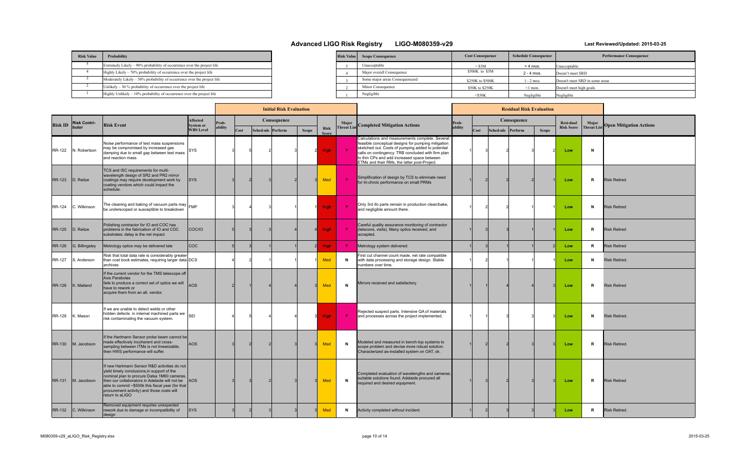| <b>Risk Value</b> | Probability                                                             |  |
|-------------------|-------------------------------------------------------------------------|--|
|                   | Extremely Likely – 90% probability of occurrence over the project life  |  |
|                   | Highly Likely - 70% probability of occurrence over the project life     |  |
|                   | Moderately Likely – 50% probability of occurrence over the project life |  |
|                   | Unlikely $-30\%$ probability of occurrence over the project life        |  |
|                   | Highly Unlikely $-10\%$ probability of occurrence over the project life |  |

| <b>Risk Value</b> | <b>Scope Consequence</b>       | <b>Cost Consequence</b> | <b>Schedule Consequence</b> | <b>Performance Consequence</b> |  |  |  |  |  |  |  |
|-------------------|--------------------------------|-------------------------|-----------------------------|--------------------------------|--|--|--|--|--|--|--|
|                   | Unacceptable                   | $>$ \$3M                | $> 4$ mos.                  | Unacceptable                   |  |  |  |  |  |  |  |
|                   | Major overall Consequence      | \$500K to \$3M          | $2 - 4$ mos.                | Doesn't meet SRD               |  |  |  |  |  |  |  |
|                   | Some major areas Consequenceed | \$250K to \$500K        | $1 - 2$ mos.                | Doesn't meet SRD in some areas |  |  |  |  |  |  |  |
|                   | Minor Consequence              | \$50K to \$250K         | $\leq$ 1 mon.               | Doesn't meet high goals        |  |  |  |  |  |  |  |
|                   | Negligible                     | $<$ \$50K               | Negligible                  | Negligible                     |  |  |  |  |  |  |  |

|                |                     |                                                                                                                                                                                                                                                                                                                    |                               |         |      | <b>Initial Risk Evaluation</b> |              |                      |                    |                                                                                                                                                                                                                                                                                                                 | <b>Residual Risk Evaluation</b> |      |                   |             |              |                   |                    |                                |
|----------------|---------------------|--------------------------------------------------------------------------------------------------------------------------------------------------------------------------------------------------------------------------------------------------------------------------------------------------------------------|-------------------------------|---------|------|--------------------------------|--------------|----------------------|--------------------|-----------------------------------------------------------------------------------------------------------------------------------------------------------------------------------------------------------------------------------------------------------------------------------------------------------------|---------------------------------|------|-------------------|-------------|--------------|-------------------|--------------------|--------------------------------|
|                | <b>Risk Contri-</b> |                                                                                                                                                                                                                                                                                                                    | Affected                      | Prob-   |      | Consequence                    |              |                      | Major              |                                                                                                                                                                                                                                                                                                                 | Prob-                           |      |                   | Consequence |              | Resi-dual         | Major              | <b>Open Mitigation Actions</b> |
| <b>Risk ID</b> | butor               | <b>Risk Event</b>                                                                                                                                                                                                                                                                                                  | System or<br><b>WBS Level</b> | ability | Cost | Sched-ule Perform              | <b>Scope</b> | <b>Risk</b><br>Score | <b>Threat List</b> | Completed Mitigation Actions                                                                                                                                                                                                                                                                                    | ability                         | Cost | Sched-ule Perform |             | <b>Scope</b> | <b>Risk Score</b> | <b>Threat List</b> |                                |
| RR-122         | N. Robertson        | Noise performance of test mass suspensions<br>may be compromised by increased gas<br>damping due to small gap between test mass<br>and reaction mass                                                                                                                                                               | SYS                           |         |      |                                |              | <b>High</b>          | $\mathbf{Y}$       | Calculations and measurements complete. Several<br>feasible conceptual designs for pumping mitigation<br>sketched out. Costs of pumping added to potential<br>calls on contingency. TRB concluded with firm plan<br>to thin CPs and add increased space between<br>ETMs and their RMs, the latter post-Project. |                                 |      |                   |             |              | Low               | N                  |                                |
| <b>RR-123</b>  | D. Reitze           | TCS and ISC requirements for multi-<br>wavelength design of SR2 and PR2 mirror<br>coatings may require development work by<br>coating vendors which could impact the<br>schedule.                                                                                                                                  | <b>SYS</b>                    |         |      |                                |              | Med                  | $\mathbf{Y}$       | Simplification of design by TCS to eliminate need<br>for tri-chroic performance on small PRMs                                                                                                                                                                                                                   |                                 |      |                   |             |              | Low               | R                  | <b>Risk Retired</b>            |
| RR-124         | C. Wilkinson        | The cleaning and baking of vacuum parts may $FMP$<br>be underscoped or susceptible to breakdown                                                                                                                                                                                                                    |                               |         |      |                                |              | <b>High</b>          | $\mathbf{Y}$       | Only 3rd ifo parts remain in production clean/bake,<br>and negligible amount there.                                                                                                                                                                                                                             |                                 |      |                   |             |              | Low               | N                  | <b>Risk Retired</b>            |
| <b>RR-125</b>  | D. Reitze           | Polishing contractor for IO and COC has<br>problems in the fabrication of IO and COC<br>substrates; delay is the net impact                                                                                                                                                                                        | COC/IO                        |         |      |                                |              | <b>High</b>          | Y.                 | Careful quality assurance monitoring of contractor<br>(telecons, visits). Many optics received, and<br>accepted.                                                                                                                                                                                                |                                 |      |                   |             |              | Low               | R                  | <b>Risk Retired</b>            |
| <b>RR-126</b>  | G. Billingsley      | Metrology optics may be delivered late                                                                                                                                                                                                                                                                             | lcoc:                         |         |      |                                |              | <b>High</b>          | Y.                 | Metrology system delivered.                                                                                                                                                                                                                                                                                     |                                 |      |                   |             |              | Low               | R                  | <b>Risk Retired</b>            |
| RR-127         | S. Anderson         | Risk that total data rate is considerably greater<br>than cost book estimates, requiring larger data DCS<br>archives                                                                                                                                                                                               |                               |         |      |                                |              | <b>Med</b>           | N                  | First cut channel count made, net rate compatible<br>with data processing and storage design. Stable<br>numbers over time.                                                                                                                                                                                      |                                 |      |                   |             |              | Low               | N                  | <b>Risk Retired</b>            |
| <b>RR-128</b>  | K. Mailand          | If the current vendor for the TMS telescope off<br>Axis Parabolas<br>fails to produce a correct set of optics we will<br>have to rework or<br>acquire them from an alt. vendor.                                                                                                                                    | <b>AOS</b>                    |         |      |                                |              | Med                  | N                  | Mirrors received and satisfactory.                                                                                                                                                                                                                                                                              |                                 |      |                   |             |              | Low               | R                  | <b>Risk Retired</b>            |
| RR-129         | K. Mason            | If we are unable to detect welds or other<br>hidden defects in internal machined parts we<br>risk contaminating the vacuum system.                                                                                                                                                                                 | SFI                           |         |      |                                |              | <b>High</b>          | Y                  | Rejected suspect parts. Intensive QA of materials<br>and processes across the project implemented.                                                                                                                                                                                                              |                                 |      |                   |             |              | Low               | N                  | <b>Risk Retired</b>            |
|                | RR-130 M. Jacobson  | If the Hartmann Sensor probe beam cannot be<br>made effectively incoherent and cross-<br>sampling between ITMs is not linearizable,<br>then HWS performance will suffer.                                                                                                                                           | <b>AOS</b>                    |         |      |                                |              | <b>Med</b>           | $\mathbf{N}$       | Modeled and measured in bench-top systems to<br>scope problem and devise more robust solution.<br>Characterized as-installed system on OAT, ok.                                                                                                                                                                 |                                 |      |                   |             |              | Low               | R                  | <b>Risk Retired.</b>           |
| <b>RR-131</b>  | M. Jacobson         | If new Hartmann Sensor R&D activities do not<br>vield timely conclusions, in support of the<br>nominal plan to procure Dalsa 1M60 cameras,<br>then our collaborators in Adelaide will not be<br>able to commit ~\$500k this fiscal year (for that<br>procurement activity) and those costs will<br>return to aLIGO | AOS                           |         |      |                                |              | Med                  | $\mathsf{N}$       | Completed evaluation of wavelengths and cameras;<br>suitable solutions found. Adelaide procured all<br>required and desired equipment.                                                                                                                                                                          |                                 |      |                   |             |              | Low               | R                  | <b>Risk Retired</b>            |
| <b>RR-132</b>  | C. Wilkinson        | Removed equipment requires unexpected<br>rework due to damage or incompatibility of<br>desian                                                                                                                                                                                                                      | <b>SYS</b>                    |         |      |                                |              | Med                  | N                  | Activity completed without incident.                                                                                                                                                                                                                                                                            |                                 |      |                   |             |              | Low               | R                  | <b>Risk Retired.</b>           |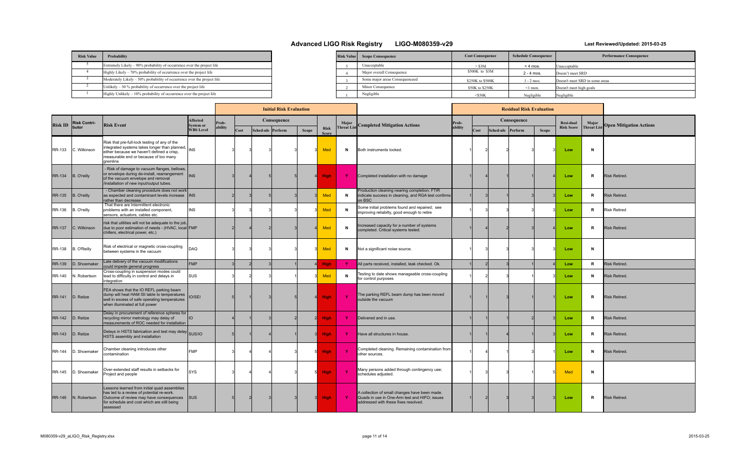| <b>Risk Value</b> | Probability                                                             |
|-------------------|-------------------------------------------------------------------------|
|                   | Extremely Likely – 90% probability of occurrence over the project life  |
|                   | Highly Likely – 70% probability of occurrence over the project life     |
|                   | Moderately Likely – 50% probability of occurrence over the project life |
|                   | Unlikely $-30\%$ probability of occurrence over the project life        |
|                   | Highly Unlikely – 10% probability of occurrence over the project life   |

| <b>Risk Value</b> | <b>Scope Consequence</b>       | <b>Cost Consequence</b> | <b>Schedule Consequence</b> | <b>Performance Consequence</b> |
|-------------------|--------------------------------|-------------------------|-----------------------------|--------------------------------|
|                   | Unacceptable                   | $>$ \$3M                | $> 4$ mos.                  | Unacceptable                   |
|                   | Major overall Consequence      | \$500K to \$3M          | $2 - 4$ mos.                | Doesn't meet SRD               |
|                   | Some major areas Consequenceed | \$250K to \$500K        | $-2$ mos.                   | Doesn't meet SRD in some areas |
|                   | Minor Consequence              | \$50K to \$250K         | $\leq$ 1 mon.               | Doesn't meet high goals        |
|                   | Negligible                     | $<$ S50K                | Negligible                  | Negligible                     |

| <b>Initial Risk Evaluation</b> |                     |                                                                                                                                                                                                      |                              |         |      |  |                   |              |                             |              |                                                                                                                                        |         |      |                   | <b>Residual Risk Evaluation</b> |              |                   |                   |                                |
|--------------------------------|---------------------|------------------------------------------------------------------------------------------------------------------------------------------------------------------------------------------------------|------------------------------|---------|------|--|-------------------|--------------|-----------------------------|--------------|----------------------------------------------------------------------------------------------------------------------------------------|---------|------|-------------------|---------------------------------|--------------|-------------------|-------------------|--------------------------------|
| <b>Risk ID</b>                 | <b>Risk Contri-</b> | <b>Risk Event</b>                                                                                                                                                                                    | <b>Affected</b><br>System or | rob-    |      |  | Consequence       |              |                             |              | <b>Threat List</b> Completed Mitigation Actions                                                                                        | Prob-   |      |                   | Consequence                     |              | Resi-dual         | Major             | <b>Open Mitigation Actions</b> |
|                                | butor               |                                                                                                                                                                                                      | <b>WBS Level</b>             | ability | Cost |  | Sched-ule Perform | <b>Scope</b> | <b>Risk</b><br><b>Score</b> |              |                                                                                                                                        | ability | Cost | Sched-ule Perform |                                 | <b>Scope</b> | <b>Risk Score</b> | <b>Threat Lis</b> |                                |
| <b>RR-133</b>                  | C. Wilkinson        | Risk that pre-full-lock testing of any of the<br>integrated systems takes longer than planned,<br>either because we haven't defined a crisp,<br>measurable end or because of too many<br>gremlins    | <b>INS</b>                   |         |      |  |                   |              | Med                         | N            | Both instruments locked.                                                                                                               |         |      |                   |                                 |              | Low               | N                 |                                |
| <b>RR-134</b>                  | B. O'reilly         | Risk of damage to vacuum flanges, bellows,<br>or envelope during de-install, rearrangement<br>of the vacuum envelope and removal<br>/installation of new input/output tubes.                         | <b>IINS</b>                  |         |      |  |                   |              | <b>High</b>                 | $\mathbf{Y}$ | Completed installation with no damage                                                                                                  |         |      |                   |                                 |              | Low               | R                 | <b>Risk Retired.</b>           |
| <b>RR-135</b>                  | B. O'reilly         | - Chamber cleaning procedure does not work<br>as expected and contaminant levels increase  INS<br>rather than decrease.                                                                              |                              |         |      |  |                   |              | Med                         | $\mathbf N$  | Production cleaning nearing completion; FTIR<br>indicate success in cleaning, and RGA test confirms<br>on BSC                          |         |      |                   |                                 |              | Low               | R                 | <b>Risk Retired.</b>           |
| RR-136                         | B. O'reilly         | That there are Intermittent electronic<br>problems with an installed component,<br>sensors, actuators, cables etc.                                                                                   | <b>INS</b>                   |         |      |  |                   |              | <b>Med</b>                  | N            | Some initial problems found and repaired; see<br>improving reliabilty, good enough to retire                                           |         |      |                   |                                 |              | Low               | R                 | <b>Risk Retired</b>            |
| <b>RR-137</b>                  | C. Wilkinson        | risk that utilities will not be adequate to the job,<br>due to poor estimation of needs - (HVAC, local FMP<br>chillers, electrical power, etc.)                                                      |                              |         |      |  |                   |              | Med                         | $\mathbf N$  | Increased capacity for a number of systems<br>completed. Critical systems tested.                                                      |         |      |                   |                                 |              | Low               | R                 | <b>Risk Retired.</b>           |
| <b>RR-138</b>                  | B. O'Reilly         | Risk of electrical or magnetic cross-coupling<br>between systems in the vacuum                                                                                                                       | DAQ                          |         |      |  |                   |              | Med                         | N            | Not a significant noise source.                                                                                                        |         |      |                   |                                 |              | Low               | N                 |                                |
| <b>RR-139</b>                  | D. Shoemaker        | Late delivery of the vacuum modifications<br>could impede general progress                                                                                                                           | <b>FMP</b>                   |         |      |  |                   |              | <b>High</b>                 | $\mathbf{Y}$ | All parts received, installed, leak checked. Ok.                                                                                       |         |      |                   |                                 |              | Low               | R.                | <b>Risk Retired.</b>           |
| <b>RR-140</b>                  | N. Robertson        | Cross-coupling in suspension modes could<br>lead to difficulty in control and delays in<br>integration                                                                                               | sus                          |         |      |  |                   |              | <b>Med</b>                  | N            | Testing to date shows manageable cross-coupling<br>for control purposes                                                                |         |      |                   |                                 |              | Low               | N                 | Risk Retired.                  |
| <b>RR-141</b>                  | D. Reitze           | FEA shows that the IO REFL parking beam<br>dump will heat HAM ISI table to temperatures<br>well in excess of safe operating temperatures<br>when illuminated at full power                           | <b>IO/SEI</b>                |         |      |  |                   |              | <b>High</b>                 | $\mathbf{Y}$ | The parking REFL beam dump has been moved<br>outside the vacuum                                                                        |         |      |                   |                                 |              | Low               | R                 | <b>Risk Retired</b>            |
| <b>RR-142</b>                  | D. Reitze           | Delay in procurement of reference spheres for<br>recycling mirror metrology may delay of<br>measurements of ROC needed for installation                                                              | lio                          |         |      |  |                   |              | <b>High</b>                 | -Y           | Delivered and in use.                                                                                                                  |         |      |                   |                                 |              | Low               | R                 | <b>Risk Retired.</b>           |
| <b>RR-143</b>                  | D. Reitze           | Delays in HSTS fabrication and test may delay SUS/IO<br>HSTS assembly and installation                                                                                                               |                              |         |      |  |                   |              | <b>High</b>                 | -Y           | Have all structures in house.                                                                                                          |         |      |                   |                                 |              | Low               | R                 | <b>Risk Retired.</b>           |
| <b>RR-144</b>                  | D. Shoemaker        | Chamber cleaning introduces other<br>contamination                                                                                                                                                   | <b>FMP</b>                   |         |      |  |                   |              | <b>High</b>                 |              | Completed cleaning. Remaining contamination from<br>other sources.                                                                     |         |      |                   |                                 |              | Low               | N                 | <b>Risk Retired.</b>           |
| RR-145                         | D. Shoemaker        | Over-extended staff results in setbacks for<br>Project and people                                                                                                                                    | <b>SYS</b>                   |         |      |  |                   |              | <b>High</b>                 | $\mathbf{Y}$ | Many persons added through contingency use;<br>schedules adjusted.                                                                     |         |      |                   |                                 |              | Med               | N                 |                                |
| RR-146                         | N. Robertson        | Lessons learned from initial quad assemblies<br>has led to a review of potential re-work.<br>Outcome of review may have consequences  SUS<br>for schedule and cost which are still being<br>assessed |                              |         |      |  |                   |              | <b>High</b>                 | $\mathbf{Y}$ | A collection of small changes have been made.<br>Quads in use in One-Arm test and HIFO; issues<br>addressed with these fixes resolved. |         |      |                   |                                 |              | Low               | R                 | <b>Risk Retired.</b>           |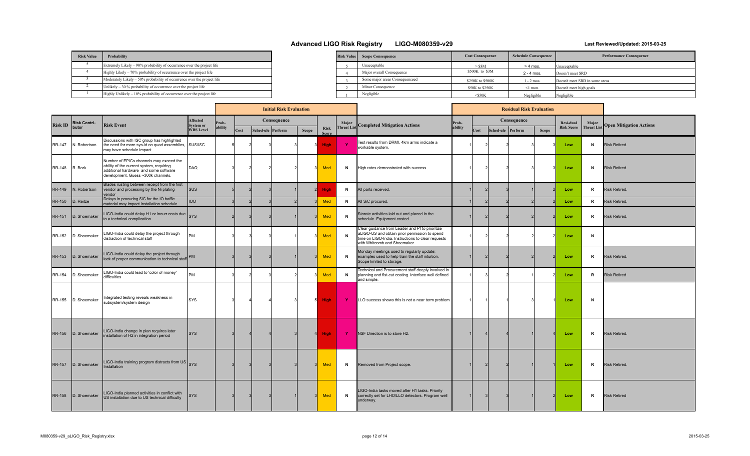| <b>Risk Value</b> | Probability                                                             |
|-------------------|-------------------------------------------------------------------------|
|                   | Extremely Likely – 90% probability of occurrence over the project life  |
|                   | Highly Likely - 70% probability of occurrence over the project life     |
|                   | Moderately Likely - 50% probability of occurrence over the project life |
|                   | Unlikely $-30\%$ probability of occurrence over the project life        |
|                   | Highly Unlikely - 10% probability of occurrence over the project life   |

| <b>Risk Value</b> | <b>Scope Consequence</b>       | <b>Cost Consequence</b> | <b>Schedule Consequence</b> | <b>Performance Consequence</b> |
|-------------------|--------------------------------|-------------------------|-----------------------------|--------------------------------|
|                   | Unacceptable                   | $>$ \$3M                | $> 4$ mos.                  | Unacceptable                   |
|                   | Major overall Consequence      | \$500K to \$3M          | $2 - 4$ mos.                | Doesn't meet SRD               |
|                   | Some major areas Consequenceed | \$250K to \$500K        | $1 - 2$ mos.                | Doesn't meet SRD in some areas |
|                   | Minor Consequence              | \$50K to \$250K         | ≤1 mon.                     | Doesn't meet high goals        |
|                   | Negligible                     | $<$ S50K                | Negligible                  | Negligible                     |

|                |                     |                                                                                                                                                                    |                                     |         |      | <b>Initial Risk Evaluation</b> |       |                             |              |                                                                                                                                                                                        |         |      |                   | <b>Residual Risk Evaluation</b> |       |                   |                   |                                |
|----------------|---------------------|--------------------------------------------------------------------------------------------------------------------------------------------------------------------|-------------------------------------|---------|------|--------------------------------|-------|-----------------------------|--------------|----------------------------------------------------------------------------------------------------------------------------------------------------------------------------------------|---------|------|-------------------|---------------------------------|-------|-------------------|-------------------|--------------------------------|
| <b>Risk ID</b> | <b>Risk Contri-</b> | <b>Risk Event</b>                                                                                                                                                  | <b>Affected</b><br><b>System or</b> | Prob-   |      | Consequence                    |       |                             |              |                                                                                                                                                                                        | Prob-   |      |                   | Consequence                     |       | Resi-dual         | Major             | <b>Open Mitigation Actions</b> |
|                | butor               |                                                                                                                                                                    | <b>WBS Level</b>                    | ability | Cost | Sched-ule Perform              | Scope | <b>Risk</b><br><b>Score</b> |              | Threat List Completed Mitigation Actions                                                                                                                                               | ability | Cost | Sched-ule Perform |                                 | Scope | <b>Risk Score</b> | <b>Threat Lis</b> |                                |
| RR-147         | N. Robertson        | Discussions with ISC group has highlighted<br>the need for more sys-id on quad assemblies, SUS/ISC<br>may have schedule impact                                     |                                     |         |      |                                |       | <b>High</b>                 | $\mathbf{Y}$ | Test results from DRMI, 4km arms indicate a<br>workable system.                                                                                                                        |         |      |                   |                                 |       | Low               | N                 | <b>Risk Retired.</b>           |
| <b>RR-148</b>  | R. Bork             | Number of EPICs channels may exceed the<br>ability of the current system, requiring<br>additional hardware and some software<br>development. Guess ~300k channels. | DAQ                                 |         |      |                                |       | Med                         | N            | High rates demonstrated with success.                                                                                                                                                  |         |      |                   |                                 |       | Low               | N                 | Risk Retired.                  |
| RR-149         | N. Robertson        | Blades rusting between receipt from the first<br>vendor and processing by the Ni plating<br>vendor                                                                 | <b>Isus</b>                         |         |      |                                |       | <b>High</b>                 | N            | All parts received.                                                                                                                                                                    |         |      |                   |                                 |       | Low               | R                 | <b>Risk Retired.</b>           |
| <b>RR-150</b>  | D. Reitze           | Delays in procuring SiC for the IO baffle<br>material may impact installation schedule                                                                             | 100                                 |         |      |                                |       | Med                         | N            | All SiC procured.                                                                                                                                                                      |         |      |                   |                                 |       | Low               | R.                | Risk Retired.                  |
| <b>RR-151</b>  | D. Shoemaker        | LIGO-India could delay H1 or incurr costs due SYS<br>to a technical complication                                                                                   |                                     |         |      |                                |       | Med                         | N            | Storate activities laid out and placed in the<br>schedule. Equipment costed.                                                                                                           |         |      |                   |                                 |       | Low               | R                 | Risk Retired.                  |
| RR-152         | D. Shoemaker        | LIGO-India could delay the project through<br>distraction of technical staff                                                                                       | PM                                  |         |      |                                |       | Med                         | N            | Clear guidance from Leader and PI to prioritize<br>aLIGO-US and obtain prior permission to spend<br>time on LIGO-India. Instructions to clear requests<br>with Whitcomb and Shoemaker. |         |      |                   |                                 |       | Low               | N                 |                                |
| <b>RR-153</b>  | D. Shoemaker        | LIGO-India could delay the project through<br>lack of proper communication to technical staff                                                                      | <b>PM</b>                           |         |      |                                |       | <b>Med</b>                  | N            | Monday meetings used to regularly update;<br>examples used to help train the staff intuition.<br>Scope limited to storage.                                                             |         |      |                   |                                 |       | Low               | R                 | <b>Risk Retired.</b>           |
| <b>RR-154</b>  | D. Shoemaker        | IGO-India could lead to 'color of money'<br>difficulties                                                                                                           | <b>PM</b>                           |         |      |                                |       | Med                         | N            | Technical and Procurement staff deeply involved in<br>planning and fist-cut costing. Interface well defined<br>and simple.                                                             |         |      |                   |                                 |       | Low               | R                 | <b>Risk Retired</b>            |
| <b>RR-155</b>  | D. Shoemaker        | Integrated testing reveals weakness in<br>subsystem/system design                                                                                                  | <b>SYS</b>                          |         |      |                                | 5     | <b>High</b>                 | Y.           | LLO success shows this is not a near term problem                                                                                                                                      |         |      |                   |                                 |       | Low               | N                 |                                |
| <b>RR-156</b>  | D. Shoemaker        | LIGO-India change in plan requires later<br>nstallation of H2 in integration period                                                                                | <b>SYS</b>                          |         |      |                                |       | <b>High</b>                 | Y            | NSF Direction is to store H2.                                                                                                                                                          |         |      |                   |                                 |       | Low               | R                 | <b>Risk Retired.</b>           |
| <b>RR-157</b>  | D. Shoemaker        | LIGO-India training program distracts from US SYS<br>nstallation                                                                                                   |                                     |         |      |                                |       | <b>Med</b>                  | N            | Removed from Project scope.                                                                                                                                                            |         |      |                   |                                 |       | Low               | $\mathsf{R}$      | <b>Risk Retired.</b>           |
| <b>RR-158</b>  | D. Shoemaker        | LIGO-India planned activities in conflict with<br>US installation due to US technical difficulty                                                                   | <b>SYS</b>                          |         |      |                                |       | Med                         | N            | LIGO-India tasks moved after H1 tasks. Priority<br>correctly set for LHO/LLO detectors. Program well<br>underway.                                                                      |         |      |                   |                                 |       | Low               | R                 | <b>Risk Retired</b>            |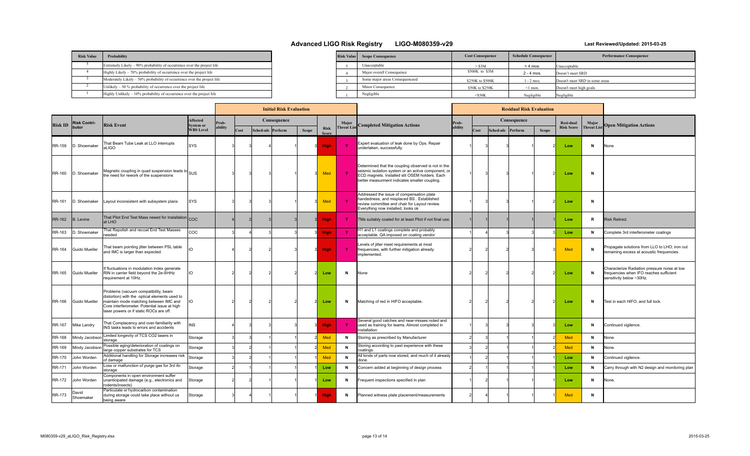| <b>Risk Value</b> | Probability                                                             |  |
|-------------------|-------------------------------------------------------------------------|--|
|                   | Extremely Likely – 90% probability of occurrence over the project life  |  |
|                   | Highly Likely – 70% probability of occurrence over the project life     |  |
|                   | Moderately Likely – 50% probability of occurrence over the project life |  |
|                   | Unlikely $-30\%$ probability of occurrence over the project life        |  |
|                   | Highly Unlikely $-10\%$ probability of occurrence over the project life |  |

| <b>Risk Value</b> | <b>Scope Consequence</b>       | <b>Cost Consequence</b> | <b>Schedule Consequence</b> | <b>Performance Consequence</b> |
|-------------------|--------------------------------|-------------------------|-----------------------------|--------------------------------|
|                   | Unacceptable                   | $-$ S3M                 | $> 4$ mos.                  | Unacceptable                   |
|                   | Major overall Consequence      | \$500K to \$3M          | $2 - 4$ mos.                | Doesn't meet SRD               |
|                   | Some major areas Consequenceed | \$250K to \$500K        | 1 - 2 mos.                  | Doesn't meet SRD in some areas |
|                   | Minor Consequence              | \$50K to \$250K         | $\leq$ 1 mon.               | Doesn't meet high goals        |
|                   | Negligible                     | $<$ S50K                | Negligible                  | Negligible                     |

|                |                     |                                                                                                                                                                                                                            |                              |         |      | <b>Initial Risk Evaluation</b> |              |                             |                   |                                                                                                                                                                                                               |         |      |                   | <b>Residual Risk Evaluation</b> |              |                   |                     |                                                                                                                     |
|----------------|---------------------|----------------------------------------------------------------------------------------------------------------------------------------------------------------------------------------------------------------------------|------------------------------|---------|------|--------------------------------|--------------|-----------------------------|-------------------|---------------------------------------------------------------------------------------------------------------------------------------------------------------------------------------------------------------|---------|------|-------------------|---------------------------------|--------------|-------------------|---------------------|---------------------------------------------------------------------------------------------------------------------|
| <b>Risk ID</b> | <b>Risk Contri-</b> | <b>Risk Event</b>                                                                                                                                                                                                          | Affected<br><b>System or</b> | Prob-   |      | Consequence                    |              |                             | Major             | <b>Completed Mitigation Actions</b>                                                                                                                                                                           | Prob-   |      |                   | Consequence                     |              | <b>Resi-dual</b>  | Major<br>Threat Lis | <b>Open Mitigation Actions</b>                                                                                      |
|                | butor               |                                                                                                                                                                                                                            | <b>WBS Level</b>             | ability | Cost | Sched-ule Perform              | <b>Scope</b> | <b>Risk</b><br><b>Score</b> | <b>Threat Lis</b> |                                                                                                                                                                                                               | ability | Cost | Sched-ule Perform |                                 | <b>Scope</b> | <b>Risk Score</b> |                     |                                                                                                                     |
| RR-159         | D. Shoemaker        | That Beam Tube Leak at LLO interrupts<br>aLIGO                                                                                                                                                                             | <b>SYS</b>                   |         |      |                                |              | <b>High</b>                 | <b>Y</b>          | Expert evaluation of leak done by Ops. Repair<br>undertaken, successfully.                                                                                                                                    |         |      |                   |                                 |              | Low               | N                   | None                                                                                                                |
| RR-160         | D. Shoemaker        | Magnetic coupling in quad suspension leads to SUS<br>the need for rework of the suspensions                                                                                                                                |                              |         |      |                                |              | Med                         | $\mathbf{Y}$      | Determined that the coupling observed is not in the<br>seismic isolation system or an active component, or<br>ECD magnets. Installed slit OSEM holders. Each<br>better measurment indicates smaller coupling. |         |      |                   |                                 |              | Low               | N                   |                                                                                                                     |
| RR-161         | D. Shoemaker        | Layout inconsistent with subsystem plans                                                                                                                                                                                   | SYS                          |         |      |                                |              | Med                         | Y.                | Addressed the issue of compensation plate<br>handedness, and misplaced BS Established<br>review committee and chair for Layout review.<br>Everything now installed, looks ok                                  |         |      |                   |                                 |              | Low               | N                   |                                                                                                                     |
| <b>RR-162</b>  | <b>B.</b> Levine    | That Pilot End Test Mass neeed for Installation COC<br>at LHO                                                                                                                                                              |                              |         |      |                                |              | <b>High</b>                 | -Y                | TMs suitably coated for at least Pilot if not final use.                                                                                                                                                      |         |      |                   |                                 |              | Low               | R                   | <b>Risk Retired</b>                                                                                                 |
| RR-163         | D. Shoemaker        | That Repolish and recoat End Test Masses<br>needed                                                                                                                                                                         | COC                          |         |      |                                |              | <b>High</b>                 | $\mathbf{Y}$      | H1 and L1 coatings complete and probably<br>acceptable. QA imposed on coating vendor                                                                                                                          |         |      |                   |                                 |              | Low               | N                   | Complete 3rd interferometer coatings                                                                                |
| RR-164         | Guido Mueller       | That beam pointing jitter between PSL table<br>and IMC is larger than expected                                                                                                                                             | m                            |         |      |                                |              | <b>High</b>                 | <b>Y</b>          | Levels of jitter meet requirements at most<br>frequencies, with further mitigation already<br>implemented.                                                                                                    |         |      |                   |                                 |              | <b>Med</b>        | N                   | Propagate solutions from LLO to LHO; iron out<br>remaining excess at acoustic frequencies.                          |
| RR-165         | Guido Mueller       | If fluctuations in modulation index generate<br>RIN in carrier field beyond the 2e-9/rtHz<br>requirement at 10Hz.                                                                                                          | m                            |         |      |                                |              | Low                         | N                 | None                                                                                                                                                                                                          |         |      |                   |                                 |              | Low               | N                   | Characterize Radiation pressure noise at low<br>frequencies when IFO reaches sufficient<br>sensitivity below ~30Hz. |
| RR-166         | Guido Mueller       | Problems (vacuum compatibility, beam<br>distortion) with the optical elements used to<br>maintain mode matching between IMC and<br>Core interferometer. Potential issue at high<br>laser powers or if static ROCs are off. | IO                           |         |      |                                |              | Low                         | N                 | Matching of red in HIFO acceptable.                                                                                                                                                                           |         |      |                   |                                 |              | Low               | N                   | Test in each HIFO, and full lock.                                                                                   |
| <b>RR-167</b>  | Mike Landry         | That Complacency and over-familiarity with<br>INS tasks leads to errors and accidents                                                                                                                                      | <b>NS</b>                    |         |      |                                |              | <b>High</b>                 | Y                 | Several good catches and near-misses noted and<br>used as training for teams. Almost completed in<br>Installation                                                                                             |         |      |                   |                                 |              | Low               | N                   | Continued vigilence.                                                                                                |
| RR-168         | Mindy Jacobson      | Limited longevity of TCS CO2 lasers in<br>storage                                                                                                                                                                          | Storage                      |         |      |                                |              | Med                         | $\mathbf N$       | Storing as prescribed by Manufacturer                                                                                                                                                                         |         |      |                   |                                 |              | Med               | N                   | None.                                                                                                               |
| RR-169         | Mindy Jacobson      | Possible aging/deterioration of coatings on<br>large copper substrates for TCS                                                                                                                                             | Storage                      |         |      |                                |              | Med                         | N                 | Storing according to past experience with these<br>coatings.                                                                                                                                                  |         |      |                   |                                 |              | Med               | N                   | None.                                                                                                               |
| RR-170         | John Worden         | Additional handling for Storage increases risk<br>of damage                                                                                                                                                                | Storage                      |         |      |                                |              | <b>Med</b>                  | N                 | All kinds of parts now stored, and much of it already<br>done.                                                                                                                                                |         |      |                   |                                 |              | Low               | N                   | Continued vigilence.                                                                                                |
| RR-171         | John Worden         | Loss or malfunction of purge gas for 3rd ifo<br>storage                                                                                                                                                                    | Storage                      |         |      |                                |              | Low                         | N                 | Concern added at beginning of design process                                                                                                                                                                  |         |      |                   |                                 |              | Low               | N                   | Carry through with N2 design and monitoring plar                                                                    |
| RR-172         | John Worden         | Components in open environment suffer<br>unanticipated damage (e.g., electronics and<br>rodents/insects)                                                                                                                   | Storage                      |         |      |                                |              | Low                         | N                 | Frequent inspections specified in plan                                                                                                                                                                        |         |      |                   |                                 |              | Low               | N                   | None.                                                                                                               |
| RR-173         | David<br>Shoemaker  | Particulate or hydrocarbon contamination<br>during storage could take place without us<br>being aware                                                                                                                      | Storage                      |         |      |                                |              | <b>High</b>                 | N                 | Planned witness plate placement/measurements                                                                                                                                                                  |         |      |                   |                                 |              | <b>Med</b>        | N                   |                                                                                                                     |